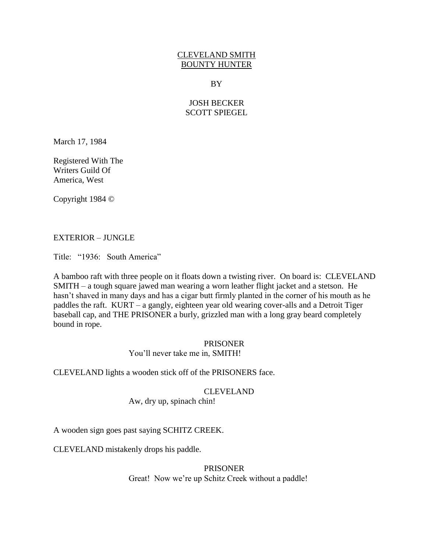# CLEVELAND SMITH BOUNTY HUNTER

### BY

# JOSH BECKER SCOTT SPIEGEL

March 17, 1984

Registered With The Writers Guild Of America, West

Copyright 1984 ©

# EXTERIOR – JUNGLE

Title: "1936: South America"

A bamboo raft with three people on it floats down a twisting river. On board is: CLEVELAND SMITH – a tough square jawed man wearing a worn leather flight jacket and a stetson. He hasn't shaved in many days and has a cigar butt firmly planted in the corner of his mouth as he paddles the raft. KURT – a gangly, eighteen year old wearing cover-alls and a Detroit Tiger baseball cap, and THE PRISONER a burly, grizzled man with a long gray beard completely bound in rope.

> PRISONER You"ll never take me in, SMITH!

CLEVELAND lights a wooden stick off of the PRISONERS face.

CLEVELAND

Aw, dry up, spinach chin!

A wooden sign goes past saying SCHITZ CREEK.

CLEVELAND mistakenly drops his paddle.

PRISONER Great! Now we're up Schitz Creek without a paddle!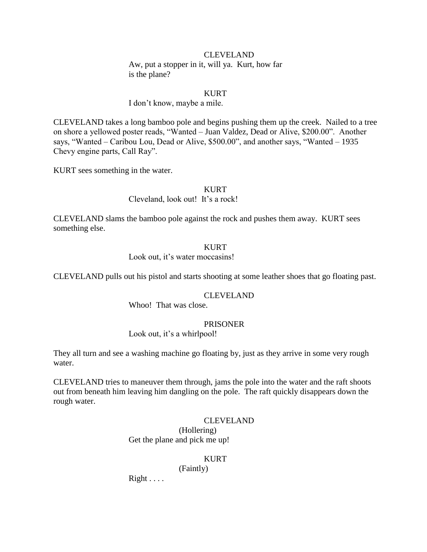### CLEVELAND

Aw, put a stopper in it, will ya. Kurt, how far is the plane?

### KURT

#### I don"t know, maybe a mile.

CLEVELAND takes a long bamboo pole and begins pushing them up the creek. Nailed to a tree on shore a yellowed poster reads, "Wanted – Juan Valdez, Dead or Alive, \$200.00". Another says, "Wanted – Caribou Lou, Dead or Alive, \$500.00", and another says, "Wanted – 1935 Chevy engine parts, Call Ray".

KURT sees something in the water.

#### KURT

Cleveland, look out! It's a rock!

CLEVELAND slams the bamboo pole against the rock and pushes them away. KURT sees something else.

### KURT

Look out, it's water moccasins!

CLEVELAND pulls out his pistol and starts shooting at some leather shoes that go floating past.

#### CLEVELAND

Whoo! That was close.

#### PRISONER

Look out, it's a whirlpool!

They all turn and see a washing machine go floating by, just as they arrive in some very rough water.

CLEVELAND tries to maneuver them through, jams the pole into the water and the raft shoots out from beneath him leaving him dangling on the pole. The raft quickly disappears down the rough water.

#### CLEVELAND

(Hollering) Get the plane and pick me up!

#### KURT

(Faintly)

 $Right \ldots$ .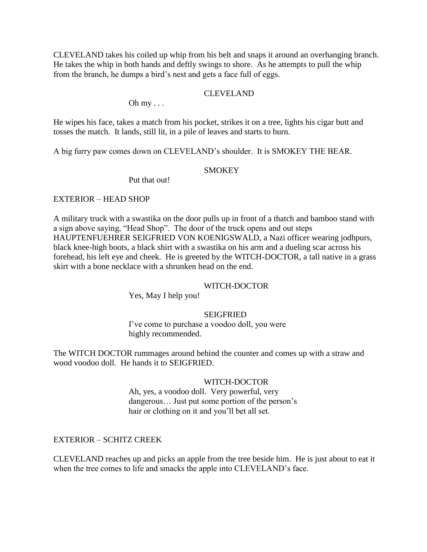CLEVELAND takes his coiled up whip from his belt and snaps it around an overhanging branch. He takes the whip in both hands and deftly swings to shore. As he attempts to pull the whip from the branch, he dumps a bird"s nest and gets a face full of eggs.

# CLEVELAND

Oh  $my \ldots$ 

He wipes his face, takes a match from his pocket, strikes it on a tree, lights his cigar butt and tosses the match. It lands, still lit, in a pile of leaves and starts to burn.

A big furry paw comes down on CLEVELAND"s shoulder. It is SMOKEY THE BEAR.

### **SMOKEY**

Put that out!

## EXTERIOR – HEAD SHOP

A military truck with a swastika on the door pulls up in front of a thatch and bamboo stand with a sign above saying, "Head Shop". The door of the truck opens and out steps HAUPTENFUEHRER SEIGFRIED VON KOENIGSWALD, a Nazi officer wearing jodhpurs, black knee-high boots, a black shirt with a swastika on his arm and a dueling scar across his forehead, his left eye and cheek. He is greeted by the WITCH-DOCTOR, a tall native in a grass skirt with a bone necklace with a shrunken head on the end.

### WITCH-DOCTOR

Yes, May I help you!

# **SEIGFRIED**

I've come to purchase a voodoo doll, you were highly recommended.

The WITCH DOCTOR rummages around behind the counter and comes up with a straw and wood voodoo doll. He hands it to SEIGFRIED.

### WITCH-DOCTOR

Ah, yes, a voodoo doll. Very powerful, very dangerous... Just put some portion of the person's hair or clothing on it and you"ll bet all set.

### EXTERIOR – SCHITZ CREEK

CLEVELAND reaches up and picks an apple from the tree beside him. He is just about to eat it when the tree comes to life and smacks the apple into CLEVELAND's face.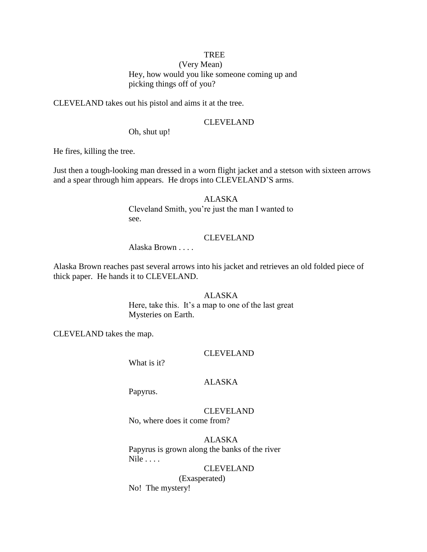# TREE

(Very Mean) Hey, how would you like someone coming up and picking things off of you?

CLEVELAND takes out his pistol and aims it at the tree.

#### CLEVELAND

Oh, shut up!

He fires, killing the tree.

Just then a tough-looking man dressed in a worn flight jacket and a stetson with sixteen arrows and a spear through him appears. He drops into CLEVELAND"S arms.

> ALASKA Cleveland Smith, you"re just the man I wanted to see.

# CLEVELAND

Alaska Brown . . . .

Alaska Brown reaches past several arrows into his jacket and retrieves an old folded piece of thick paper. He hands it to CLEVELAND.

### ALASKA

Here, take this. It's a map to one of the last great Mysteries on Earth.

CLEVELAND takes the map.

### CLEVELAND

What is it?

#### ALASKA

Papyrus.

CLEVELAND No, where does it come from?

ALASKA Papyrus is grown along the banks of the river Nile . . . .

CLEVELAND (Exasperated) No! The mystery!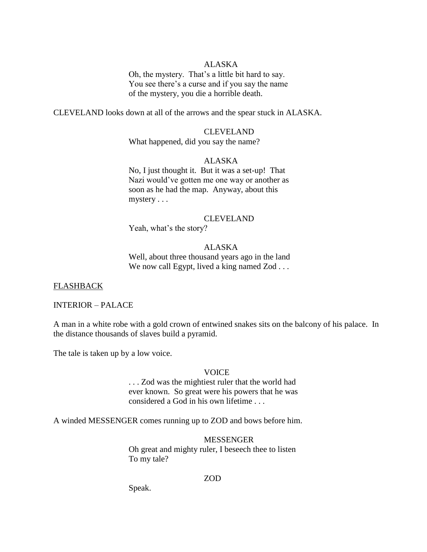# ALASKA

Oh, the mystery. That"s a little bit hard to say. You see there's a curse and if you say the name of the mystery, you die a horrible death.

CLEVELAND looks down at all of the arrows and the spear stuck in ALASKA.

## CLEVELAND

What happened, did you say the name?

# ALASKA

No, I just thought it. But it was a set-up! That Nazi would"ve gotten me one way or another as soon as he had the map. Anyway, about this mystery . . .

### CLEVELAND

Yeah, what's the story?

### ALASKA

Well, about three thousand years ago in the land We now call Egypt, lived a king named Zod . . .

#### FLASHBACK

#### INTERIOR – PALACE

A man in a white robe with a gold crown of entwined snakes sits on the balcony of his palace. In the distance thousands of slaves build a pyramid.

The tale is taken up by a low voice.

#### VOICE

. . . Zod was the mightiest ruler that the world had ever known. So great were his powers that he was considered a God in his own lifetime . . .

A winded MESSENGER comes running up to ZOD and bows before him.

#### MESSENGER

Oh great and mighty ruler, I beseech thee to listen To my tale?

#### ZOD

Speak.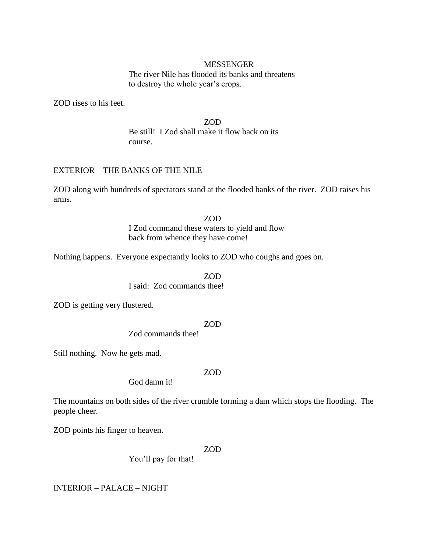#### MESSENGER

The river Nile has flooded its banks and threatens to destroy the whole year's crops.

ZOD rises to his feet.

ZOD Be still! I Zod shall make it flow back on its course.

# EXTERIOR – THE BANKS OF THE NILE

ZOD along with hundreds of spectators stand at the flooded banks of the river. ZOD raises his arms.

> ZOD I Zod command these waters to yield and flow back from whence they have come!

Nothing happens. Everyone expectantly looks to ZOD who coughs and goes on.

ZOD I said: Zod commands thee!

ZOD is getting very flustered.

ZOD

Zod commands thee!

Still nothing. Now he gets mad.

### ZOD

God damn it!

The mountains on both sides of the river crumble forming a dam which stops the flooding. The people cheer.

ZOD points his finger to heaven.

### ZOD

You"ll pay for that!

INTERIOR – PALACE – NIGHT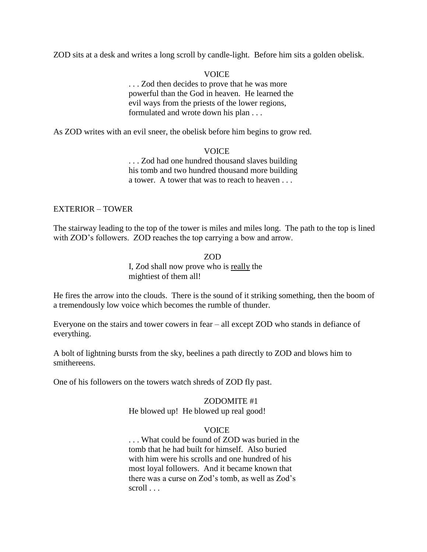ZOD sits at a desk and writes a long scroll by candle-light. Before him sits a golden obelisk.

# **VOICE**

. . . Zod then decides to prove that he was more powerful than the God in heaven. He learned the evil ways from the priests of the lower regions, formulated and wrote down his plan . . .

As ZOD writes with an evil sneer, the obelisk before him begins to grow red.

## **VOICE**

. . . Zod had one hundred thousand slaves building his tomb and two hundred thousand more building a tower. A tower that was to reach to heaven . . .

## EXTERIOR – TOWER

The stairway leading to the top of the tower is miles and miles long. The path to the top is lined with ZOD's followers. ZOD reaches the top carrying a bow and arrow.

> ZOD I, Zod shall now prove who is really the mightiest of them all!

He fires the arrow into the clouds. There is the sound of it striking something, then the boom of a tremendously low voice which becomes the rumble of thunder.

Everyone on the stairs and tower cowers in fear – all except ZOD who stands in defiance of everything.

A bolt of lightning bursts from the sky, beelines a path directly to ZOD and blows him to smithereens.

One of his followers on the towers watch shreds of ZOD fly past.

### ZODOMITE #1 He blowed up! He blowed up real good!

### VOICE

. . . What could be found of ZOD was buried in the tomb that he had built for himself. Also buried with him were his scrolls and one hundred of his most loyal followers. And it became known that there was a curse on Zod"s tomb, as well as Zod"s scroll . . .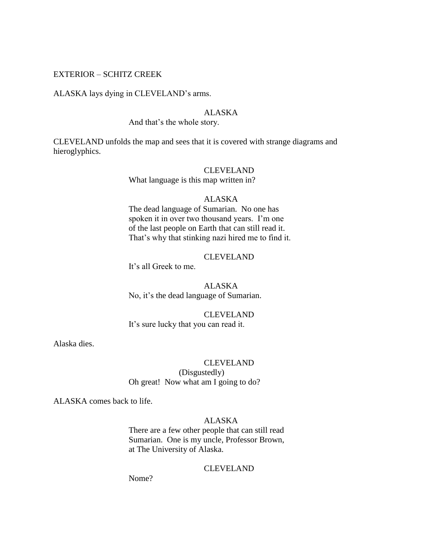### EXTERIOR – SCHITZ CREEK

#### ALASKA lays dying in CLEVELAND"s arms.

#### ALASKA

#### And that"s the whole story.

CLEVELAND unfolds the map and sees that it is covered with strange diagrams and hieroglyphics.

#### CLEVELAND

What language is this map written in?

#### ALASKA

The dead language of Sumarian. No one has spoken it in over two thousand years. I'm one of the last people on Earth that can still read it. That's why that stinking nazi hired me to find it.

# CLEVELAND

It's all Greek to me.

ALASKA No, it's the dead language of Sumarian.

# CLEVELAND It's sure lucky that you can read it.

Alaska dies.

#### CLEVELAND

(Disgustedly) Oh great! Now what am I going to do?

ALASKA comes back to life.

# ALASKA

There are a few other people that can still read Sumarian. One is my uncle, Professor Brown, at The University of Alaska.

### CLEVELAND

Nome?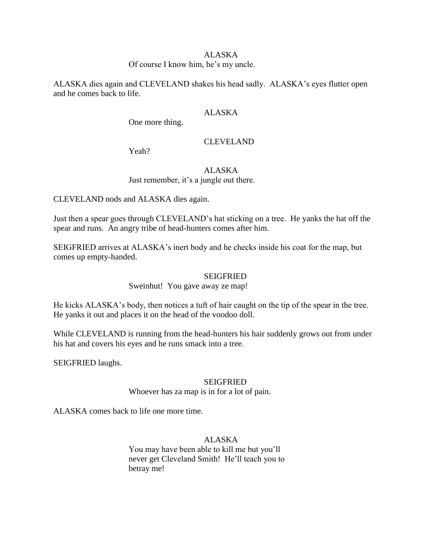## ALASKA

# Of course I know him, he"s my uncle.

ALASKA dies again and CLEVELAND shakes his head sadly. ALASKA"s eyes flutter open and he comes back to life.

### ALASKA

One more thing.

# CLEVELAND

Yeah?

# ALASKA

Just remember, it's a jungle out there.

CLEVELAND nods and ALASKA dies again.

Just then a spear goes through CLEVELAND"s hat sticking on a tree. He yanks the hat off the spear and runs. An angry tribe of head-hunters comes after him.

SEIGFRIED arrives at ALASKA"s inert body and he checks inside his coat for the map, but comes up empty-handed.

### SEIGFRIED

Sweinhut! You gave away ze map!

He kicks ALASKA's body, then notices a tuft of hair caught on the tip of the spear in the tree. He yanks it out and places it on the head of the voodoo doll.

While CLEVELAND is running from the head-hunters his hair suddenly grows out from under his hat and covers his eyes and he runs smack into a tree.

SEIGFRIED laughs.

### SEIGFRIED

Whoever has za map is in for a lot of pain.

ALASKA comes back to life one more time.

# ALASKA

You may have been able to kill me but you"ll never get Cleveland Smith! He"ll teach you to betray me!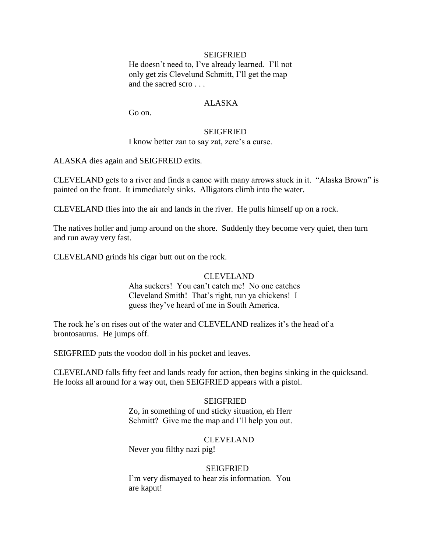### **SEIGFRIED**

He doesn't need to, I've already learned. I'll not only get zis Clevelund Schmitt, I"ll get the map and the sacred scro . . .

### ALASKA

Go on.

### SEIGFRIED

I know better zan to say zat, zere's a curse.

ALASKA dies again and SEIGFREID exits.

CLEVELAND gets to a river and finds a canoe with many arrows stuck in it. "Alaska Brown" is painted on the front. It immediately sinks. Alligators climb into the water.

CLEVELAND flies into the air and lands in the river. He pulls himself up on a rock.

The natives holler and jump around on the shore. Suddenly they become very quiet, then turn and run away very fast.

CLEVELAND grinds his cigar butt out on the rock.

### CLEVELAND

Aha suckers! You can"t catch me! No one catches Cleveland Smith! That"s right, run ya chickens! I guess they"ve heard of me in South America.

The rock he's on rises out of the water and CLEVELAND realizes it's the head of a brontosaurus. He jumps off.

SEIGFRIED puts the voodoo doll in his pocket and leaves.

CLEVELAND falls fifty feet and lands ready for action, then begins sinking in the quicksand. He looks all around for a way out, then SEIGFRIED appears with a pistol.

# **SEIGFRIED**

Zo, in something of und sticky situation, eh Herr Schmitt? Give me the map and I"ll help you out.

### CLEVELAND

Never you filthy nazi pig!

#### SEIGFRIED

I"m very dismayed to hear zis information. You are kaput!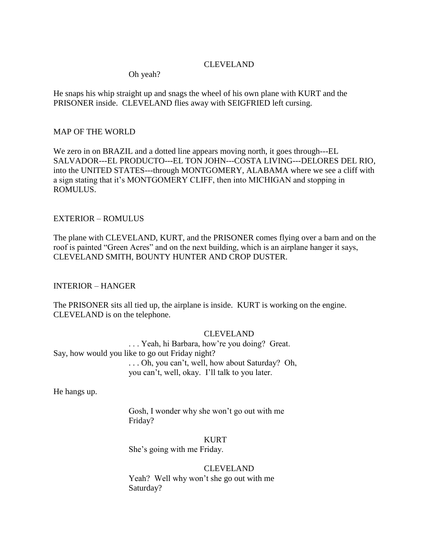# CLEVELAND

Oh yeah?

He snaps his whip straight up and snags the wheel of his own plane with KURT and the PRISONER inside. CLEVELAND flies away with SEIGFRIED left cursing.

## MAP OF THE WORLD

We zero in on BRAZIL and a dotted line appears moving north, it goes through---EL SALVADOR---EL PRODUCTO---EL TON JOHN---COSTA LIVING---DELORES DEL RIO, into the UNITED STATES---through MONTGOMERY, ALABAMA where we see a cliff with a sign stating that it's MONTGOMERY CLIFF, then into MICHIGAN and stopping in ROMULUS.

# EXTERIOR – ROMULUS

The plane with CLEVELAND, KURT, and the PRISONER comes flying over a barn and on the roof is painted "Green Acres" and on the next building, which is an airplane hanger it says, CLEVELAND SMITH, BOUNTY HUNTER AND CROP DUSTER.

INTERIOR – HANGER

The PRISONER sits all tied up, the airplane is inside. KURT is working on the engine. CLEVELAND is on the telephone.

# CLEVELAND

. . . Yeah, hi Barbara, how"re you doing? Great. Say, how would you like to go out Friday night? . . . Oh, you can"t, well, how about Saturday? Oh, you can"t, well, okay. I"ll talk to you later.

He hangs up.

Gosh, I wonder why she won"t go out with me Friday?

KURT

She"s going with me Friday.

# CLEVELAND

Yeah? Well why won"t she go out with me Saturday?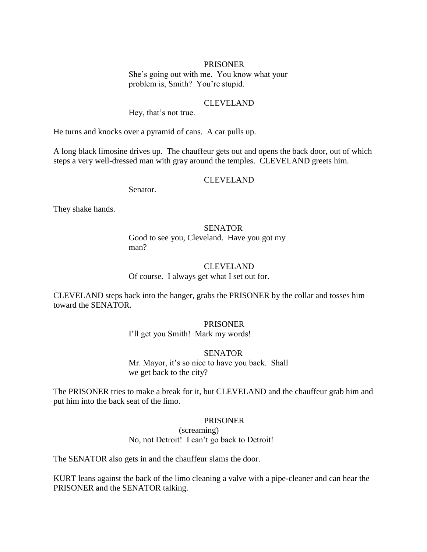#### PRISONER

She"s going out with me. You know what your problem is, Smith? You're stupid.

#### CLEVELAND

Hey, that's not true.

He turns and knocks over a pyramid of cans. A car pulls up.

A long black limosine drives up. The chauffeur gets out and opens the back door, out of which steps a very well-dressed man with gray around the temples. CLEVELAND greets him.

# CLEVELAND

Senator.

They shake hands.

# **SENATOR**

Good to see you, Cleveland. Have you got my man?

# CLEVELAND

Of course. I always get what I set out for.

CLEVELAND steps back into the hanger, grabs the PRISONER by the collar and tosses him toward the SENATOR.

### PRISONER

I"ll get you Smith! Mark my words!

#### **SENATOR**

Mr. Mayor, it's so nice to have you back. Shall we get back to the city?

The PRISONER tries to make a break for it, but CLEVELAND and the chauffeur grab him and put him into the back seat of the limo.

#### PRISONER

(screaming) No, not Detroit! I can't go back to Detroit!

The SENATOR also gets in and the chauffeur slams the door.

KURT leans against the back of the limo cleaning a valve with a pipe-cleaner and can hear the PRISONER and the SENATOR talking.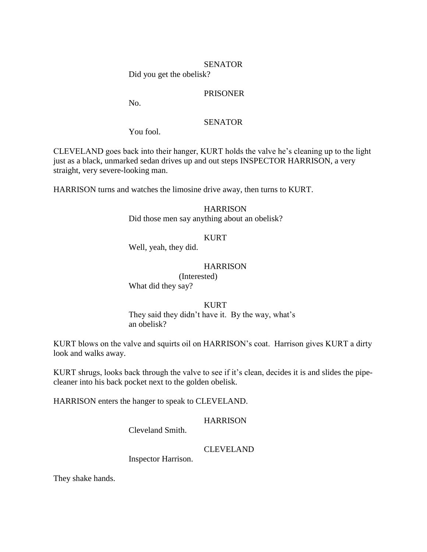#### **SENATOR**

Did you get the obelisk?

## PRISONER

No.

### **SENATOR**

You fool.

CLEVELAND goes back into their hanger, KURT holds the valve he"s cleaning up to the light just as a black, unmarked sedan drives up and out steps INSPECTOR HARRISON, a very straight, very severe-looking man.

HARRISON turns and watches the limosine drive away, then turns to KURT.

# **HARRISON**

Did those men say anything about an obelisk?

## KURT

Well, yeah, they did.

# **HARRISON**

(Interested)

What did they say?

### KURT

They said they didn't have it. By the way, what's an obelisk?

KURT blows on the valve and squirts oil on HARRISON"s coat. Harrison gives KURT a dirty look and walks away.

KURT shrugs, looks back through the valve to see if it"s clean, decides it is and slides the pipecleaner into his back pocket next to the golden obelisk.

HARRISON enters the hanger to speak to CLEVELAND.

### **HARRISON**

Cleveland Smith.

### CLEVELAND

Inspector Harrison.

They shake hands.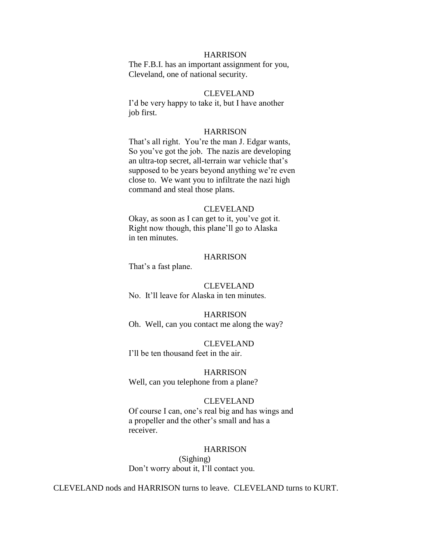#### **HARRISON**

The F.B.I. has an important assignment for you, Cleveland, one of national security.

### CLEVELAND

I"d be very happy to take it, but I have another job first.

#### **HARRISON**

That's all right. You're the man J. Edgar wants, So you"ve got the job. The nazis are developing an ultra-top secret, all-terrain war vehicle that's supposed to be years beyond anything we're even close to. We want you to infiltrate the nazi high command and steal those plans.

## CLEVELAND

Okay, as soon as I can get to it, you"ve got it. Right now though, this plane"ll go to Alaska in ten minutes.

#### **HARRISON**

That's a fast plane.

#### CLEVELAND

No. It"ll leave for Alaska in ten minutes.

## **HARRISON** Oh. Well, can you contact me along the way?

CLEVELAND I"ll be ten thousand feet in the air.

#### **HARRISON**

Well, can you telephone from a plane?

#### CLEVELAND

Of course I can, one"s real big and has wings and a propeller and the other"s small and has a receiver.

#### **HARRISON**

(Sighing) Don"t worry about it, I"ll contact you.

CLEVELAND nods and HARRISON turns to leave. CLEVELAND turns to KURT.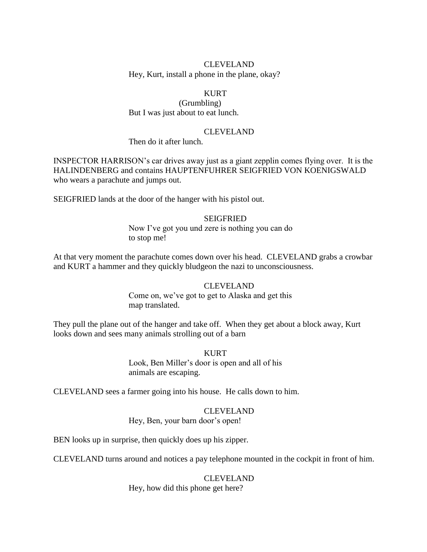# CLEVELAND

Hey, Kurt, install a phone in the plane, okay?

# **KURT**

(Grumbling) But I was just about to eat lunch.

#### CLEVELAND

Then do it after lunch.

INSPECTOR HARRISON"s car drives away just as a giant zepplin comes flying over. It is the HALINDENBERG and contains HAUPTENFUHRER SEIGFRIED VON KOENIGSWALD who wears a parachute and jumps out.

SEIGFRIED lands at the door of the hanger with his pistol out.

# **SEIGFRIED**

Now I've got you und zere is nothing you can do to stop me!

At that very moment the parachute comes down over his head. CLEVELAND grabs a crowbar and KURT a hammer and they quickly bludgeon the nazi to unconsciousness.

### CLEVELAND

Come on, we've got to get to Alaska and get this map translated.

They pull the plane out of the hanger and take off. When they get about a block away, Kurt looks down and sees many animals strolling out of a barn

#### KURT

Look, Ben Miller's door is open and all of his animals are escaping.

CLEVELAND sees a farmer going into his house. He calls down to him.

#### CLEVELAND

Hey, Ben, your barn door's open!

BEN looks up in surprise, then quickly does up his zipper.

CLEVELAND turns around and notices a pay telephone mounted in the cockpit in front of him.

#### CLEVELAND

Hey, how did this phone get here?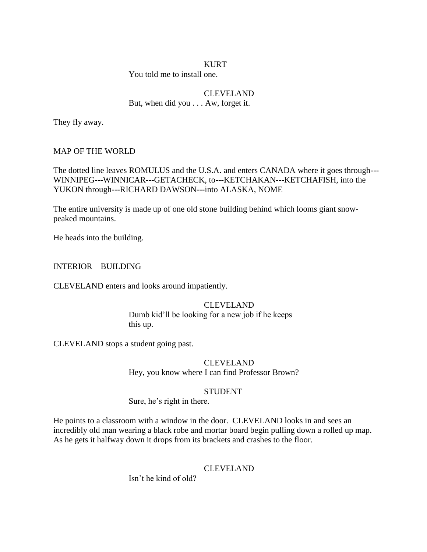### **KURT**

You told me to install one.

# CLEVELAND

But, when did you . . . Aw, forget it.

They fly away.

# MAP OF THE WORLD

The dotted line leaves ROMULUS and the U.S.A. and enters CANADA where it goes through--- WINNIPEG---WINNICAR---GETACHECK, to---KETCHAKAN---KETCHAFISH, into the YUKON through---RICHARD DAWSON---into ALASKA, NOME

The entire university is made up of one old stone building behind which looms giant snowpeaked mountains.

He heads into the building.

INTERIOR – BUILDING

CLEVELAND enters and looks around impatiently.

# CLEVELAND Dumb kid"ll be looking for a new job if he keeps this up.

CLEVELAND stops a student going past.

# CLEVELAND Hey, you know where I can find Professor Brown?

# STUDENT

Sure, he's right in there.

He points to a classroom with a window in the door. CLEVELAND looks in and sees an incredibly old man wearing a black robe and mortar board begin pulling down a rolled up map. As he gets it halfway down it drops from its brackets and crashes to the floor.

# CLEVELAND

Isn"t he kind of old?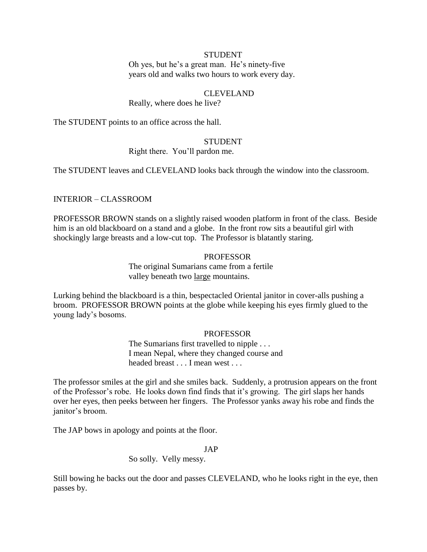#### STUDENT

Oh yes, but he"s a great man. He"s ninety-five years old and walks two hours to work every day.

# CLEVELAND

Really, where does he live?

The STUDENT points to an office across the hall.

### **STUDENT**

Right there. You"ll pardon me.

The STUDENT leaves and CLEVELAND looks back through the window into the classroom.

#### INTERIOR – CLASSROOM

PROFESSOR BROWN stands on a slightly raised wooden platform in front of the class. Beside him is an old blackboard on a stand and a globe. In the front row sits a beautiful girl with shockingly large breasts and a low-cut top. The Professor is blatantly staring.

# PROFESSOR

The original Sumarians came from a fertile valley beneath two large mountains.

Lurking behind the blackboard is a thin, bespectacled Oriental janitor in cover-alls pushing a broom. PROFESSOR BROWN points at the globe while keeping his eyes firmly glued to the young lady"s bosoms.

#### PROFESSOR

The Sumarians first travelled to nipple . . . I mean Nepal, where they changed course and headed breast . . . I mean west . . .

The professor smiles at the girl and she smiles back. Suddenly, a protrusion appears on the front of the Professor"s robe. He looks down find finds that it"s growing. The girl slaps her hands over her eyes, then peeks between her fingers. The Professor yanks away his robe and finds the janitor's broom.

The JAP bows in apology and points at the floor.

#### JAP

So solly. Velly messy.

Still bowing he backs out the door and passes CLEVELAND, who he looks right in the eye, then passes by.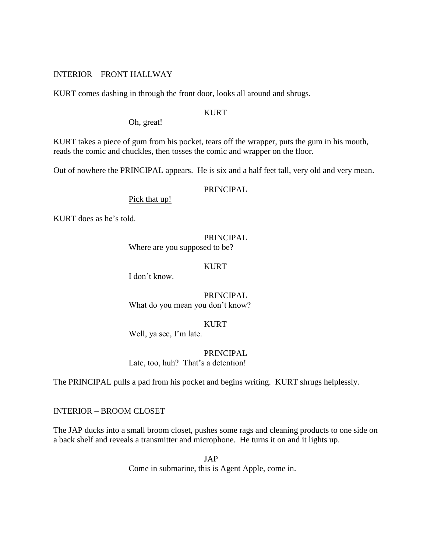# INTERIOR – FRONT HALLWAY

KURT comes dashing in through the front door, looks all around and shrugs.

# **KURT**

Oh, great!

KURT takes a piece of gum from his pocket, tears off the wrapper, puts the gum in his mouth, reads the comic and chuckles, then tosses the comic and wrapper on the floor.

Out of nowhere the PRINCIPAL appears. He is six and a half feet tall, very old and very mean.

### PRINCIPAL

Pick that up!

KURT does as he's told.

# PRINCIPAL

Where are you supposed to be?

## KURT

I don"t know.

PRINCIPAL What do you mean you don"t know?

# KURT

Well, ya see, I'm late.

PRINCIPAL Late, too, huh? That's a detention!

The PRINCIPAL pulls a pad from his pocket and begins writing. KURT shrugs helplessly.

INTERIOR – BROOM CLOSET

The JAP ducks into a small broom closet, pushes some rags and cleaning products to one side on a back shelf and reveals a transmitter and microphone. He turns it on and it lights up.

> JAP Come in submarine, this is Agent Apple, come in.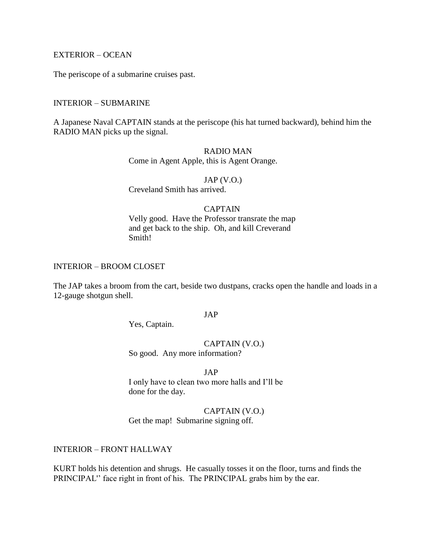# EXTERIOR – OCEAN

The periscope of a submarine cruises past.

#### INTERIOR – SUBMARINE

A Japanese Naval CAPTAIN stands at the periscope (his hat turned backward), behind him the RADIO MAN picks up the signal.

# RADIO MAN Come in Agent Apple, this is Agent Orange.

JAP (V.O.) Creveland Smith has arrived.

# CAPTAIN

Velly good. Have the Professor transrate the map and get back to the ship. Oh, and kill Creverand Smith!

# INTERIOR – BROOM CLOSET

The JAP takes a broom from the cart, beside two dustpans, cracks open the handle and loads in a 12-gauge shotgun shell.

## JAP

Yes, Captain.

# CAPTAIN (V.O.)

So good. Any more information?

# JAP

I only have to clean two more halls and I"ll be done for the day.

#### CAPTAIN (V.O.)

Get the map! Submarine signing off.

# INTERIOR – FRONT HALLWAY

KURT holds his detention and shrugs. He casually tosses it on the floor, turns and finds the PRINCIPAL'' face right in front of his. The PRINCIPAL grabs him by the ear.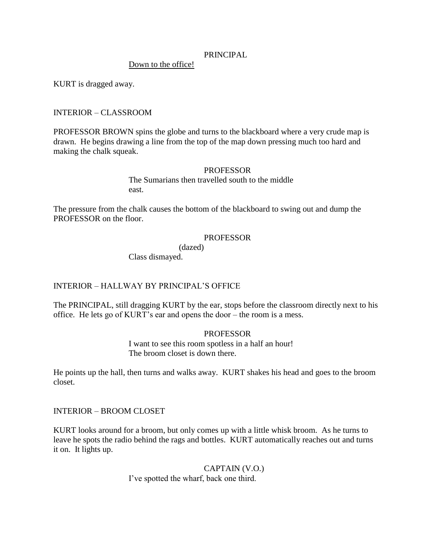### PRINCIPAL

Down to the office!

KURT is dragged away.

# INTERIOR – CLASSROOM

PROFESSOR BROWN spins the globe and turns to the blackboard where a very crude map is drawn. He begins drawing a line from the top of the map down pressing much too hard and making the chalk squeak.

### **PROFESSOR**

The Sumarians then travelled south to the middle east.

The pressure from the chalk causes the bottom of the blackboard to swing out and dump the PROFESSOR on the floor.

# **PROFESSOR**

(dazed)

Class dismayed.

# INTERIOR – HALLWAY BY PRINCIPAL"S OFFICE

The PRINCIPAL, still dragging KURT by the ear, stops before the classroom directly next to his office. He lets go of KURT"s ear and opens the door – the room is a mess.

# PROFESSOR

I want to see this room spotless in a half an hour! The broom closet is down there.

He points up the hall, then turns and walks away. KURT shakes his head and goes to the broom closet.

INTERIOR – BROOM CLOSET

KURT looks around for a broom, but only comes up with a little whisk broom. As he turns to leave he spots the radio behind the rags and bottles. KURT automatically reaches out and turns it on. It lights up.

> CAPTAIN (V.O.) I"ve spotted the wharf, back one third.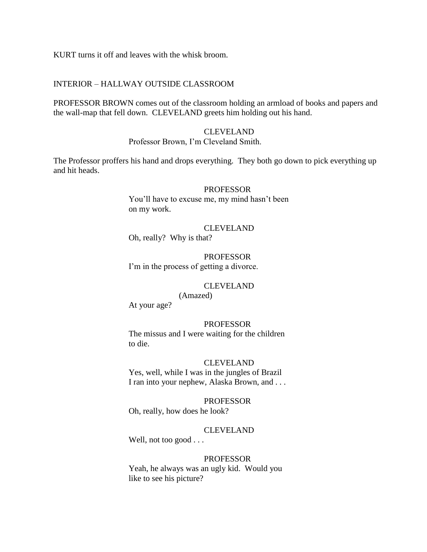KURT turns it off and leaves with the whisk broom.

# INTERIOR – HALLWAY OUTSIDE CLASSROOM

PROFESSOR BROWN comes out of the classroom holding an armload of books and papers and the wall-map that fell down. CLEVELAND greets him holding out his hand.

### CLEVELAND Professor Brown, I"m Cleveland Smith.

The Professor proffers his hand and drops everything. They both go down to pick everything up and hit heads.

#### PROFESSOR

You'll have to excuse me, my mind hasn't been on my work.

CLEVELAND Oh, really? Why is that?

PROFESSOR I'm in the process of getting a divorce.

### CLEVELAND

(Amazed)

At your age?

### PROFESSOR

The missus and I were waiting for the children to die.

### CLEVELAND

Yes, well, while I was in the jungles of Brazil I ran into your nephew, Alaska Brown, and . . .

#### PROFESSOR

Oh, really, how does he look?

# CLEVELAND

Well, not too good . . .

### PROFESSOR

Yeah, he always was an ugly kid. Would you like to see his picture?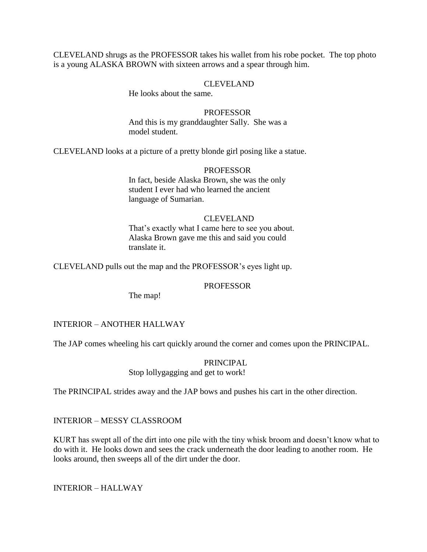CLEVELAND shrugs as the PROFESSOR takes his wallet from his robe pocket. The top photo is a young ALASKA BROWN with sixteen arrows and a spear through him.

# CLEVELAND

He looks about the same.

#### **PROFESSOR**

And this is my granddaughter Sally. She was a model student.

CLEVELAND looks at a picture of a pretty blonde girl posing like a statue.

### PROFESSOR

In fact, beside Alaska Brown, she was the only student I ever had who learned the ancient language of Sumarian.

### CLEVELAND

That's exactly what I came here to see you about. Alaska Brown gave me this and said you could translate it.

CLEVELAND pulls out the map and the PROFESSOR"s eyes light up.

# PROFESSOR

The map!

# INTERIOR – ANOTHER HALLWAY

The JAP comes wheeling his cart quickly around the corner and comes upon the PRINCIPAL.

### PRINCIPAL

Stop lollygagging and get to work!

The PRINCIPAL strides away and the JAP bows and pushes his cart in the other direction.

# INTERIOR – MESSY CLASSROOM

KURT has swept all of the dirt into one pile with the tiny whisk broom and doesn"t know what to do with it. He looks down and sees the crack underneath the door leading to another room. He looks around, then sweeps all of the dirt under the door.

INTERIOR – HALLWAY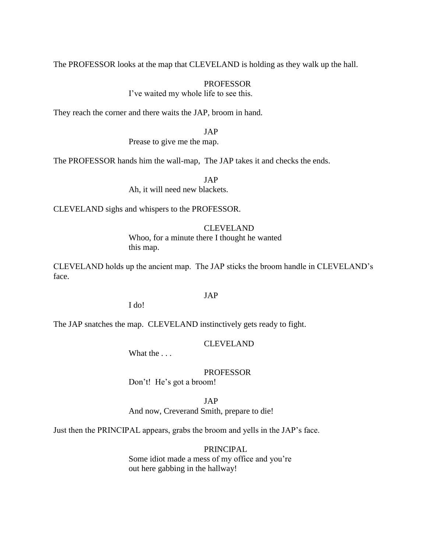The PROFESSOR looks at the map that CLEVELAND is holding as they walk up the hall.

#### PROFESSOR

I've waited my whole life to see this.

They reach the corner and there waits the JAP, broom in hand.

JAP

Prease to give me the map.

The PROFESSOR hands him the wall-map, The JAP takes it and checks the ends.

JAP Ah, it will need new blackets.

CLEVELAND sighs and whispers to the PROFESSOR.

#### CLEVELAND

Whoo, for a minute there I thought he wanted this map.

CLEVELAND holds up the ancient map. The JAP sticks the broom handle in CLEVELAND"s face.

## JAP

I do!

The JAP snatches the map. CLEVELAND instinctively gets ready to fight.

CLEVELAND

What the ...

# PROFESSOR

Don't! He's got a broom!

JAP

And now, Creverand Smith, prepare to die!

Just then the PRINCIPAL appears, grabs the broom and yells in the JAP"s face.

### PRINCIPAL

Some idiot made a mess of my office and you're out here gabbing in the hallway!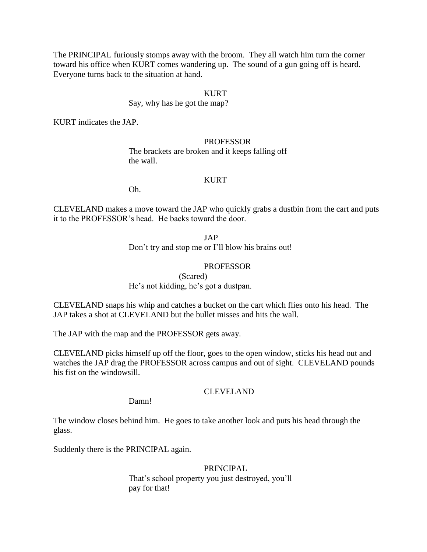The PRINCIPAL furiously stomps away with the broom. They all watch him turn the corner toward his office when KURT comes wandering up. The sound of a gun going off is heard. Everyone turns back to the situation at hand.

# KURT

### Say, why has he got the map?

KURT indicates the JAP.

# PROFESSOR The brackets are broken and it keeps falling off the wall.

## KURT

Oh.

CLEVELAND makes a move toward the JAP who quickly grabs a dustbin from the cart and puts it to the PROFESSOR"s head. He backs toward the door.

JAP

Don"t try and stop me or I"ll blow his brains out!

# PROFESSOR

(Scared)

He's not kidding, he's got a dustpan.

CLEVELAND snaps his whip and catches a bucket on the cart which flies onto his head. The JAP takes a shot at CLEVELAND but the bullet misses and hits the wall.

The JAP with the map and the PROFESSOR gets away.

CLEVELAND picks himself up off the floor, goes to the open window, sticks his head out and watches the JAP drag the PROFESSOR across campus and out of sight. CLEVELAND pounds his fist on the windowsill.

# CLEVELAND

Damn!

The window closes behind him. He goes to take another look and puts his head through the glass.

Suddenly there is the PRINCIPAL again.

# PRINCIPAL

That's school property you just destroyed, you'll pay for that!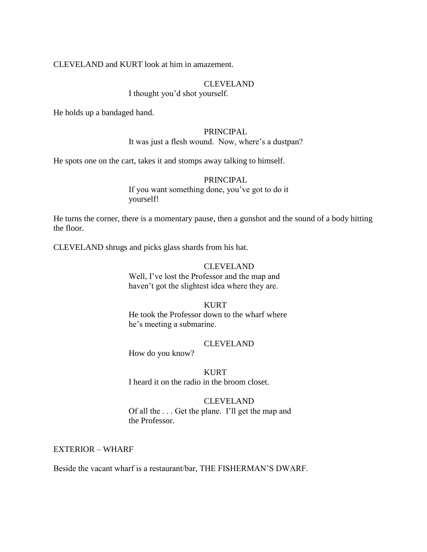CLEVELAND and KURT look at him in amazement.

# CLEVELAND

I thought you"d shot yourself.

He holds up a bandaged hand.

### PRINCIPAL

It was just a flesh wound. Now, where's a dustpan?

He spots one on the cart, takes it and stomps away talking to himself.

# PRINCIPAL

If you want something done, you"ve got to do it yourself!

He turns the corner, there is a momentary pause, then a gunshot and the sound of a body hitting the floor.

CLEVELAND shrugs and picks glass shards from his hat.

### CLEVELAND

Well, I've lost the Professor and the map and haven't got the slightest idea where they are.

### KURT

He took the Professor down to the wharf where he's meeting a submarine.

# CLEVELAND

How do you know?

KURT I heard it on the radio in the broom closet.

CLEVELAND Of all the . . . Get the plane. I"ll get the map and the Professor.

### EXTERIOR – WHARF

Beside the vacant wharf is a restaurant/bar, THE FISHERMAN"S DWARF.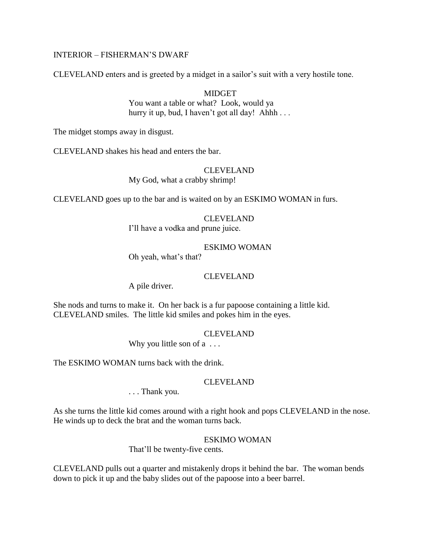# INTERIOR – FISHERMAN"S DWARF

CLEVELAND enters and is greeted by a midget in a sailor"s suit with a very hostile tone.

# **MIDGET**

You want a table or what? Look, would ya hurry it up, bud, I haven't got all day! Ahhh . . .

The midget stomps away in disgust.

CLEVELAND shakes his head and enters the bar.

### CLEVELAND

My God, what a crabby shrimp!

CLEVELAND goes up to the bar and is waited on by an ESKIMO WOMAN in furs.

### CLEVELAND

I"ll have a vodka and prune juice.

## ESKIMO WOMAN

Oh yeah, what's that?

### CLEVELAND

A pile driver.

She nods and turns to make it. On her back is a fur papoose containing a little kid. CLEVELAND smiles. The little kid smiles and pokes him in the eyes.

# CLEVELAND

Why you little son of a ...

The ESKIMO WOMAN turns back with the drink.

### CLEVELAND

. . . Thank you.

As she turns the little kid comes around with a right hook and pops CLEVELAND in the nose. He winds up to deck the brat and the woman turns back.

### ESKIMO WOMAN

That'll be twenty-five cents.

CLEVELAND pulls out a quarter and mistakenly drops it behind the bar. The woman bends down to pick it up and the baby slides out of the papoose into a beer barrel.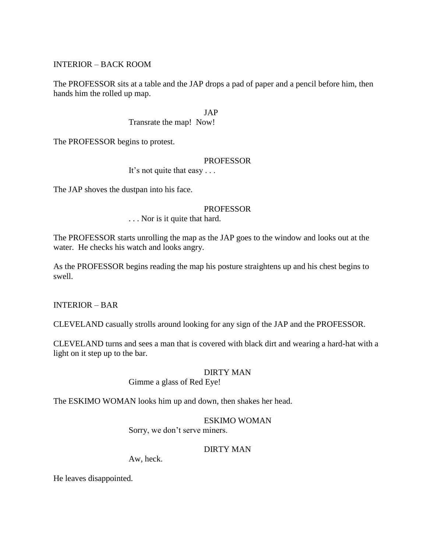INTERIOR – BACK ROOM

The PROFESSOR sits at a table and the JAP drops a pad of paper and a pencil before him, then hands him the rolled up map.

JAP

Transrate the map! Now!

The PROFESSOR begins to protest.

### PROFESSOR

It's not quite that easy . . .

The JAP shoves the dustpan into his face.

## **PROFESSOR**

. . . Nor is it quite that hard.

The PROFESSOR starts unrolling the map as the JAP goes to the window and looks out at the water. He checks his watch and looks angry.

As the PROFESSOR begins reading the map his posture straightens up and his chest begins to swell.

INTERIOR – BAR

CLEVELAND casually strolls around looking for any sign of the JAP and the PROFESSOR.

CLEVELAND turns and sees a man that is covered with black dirt and wearing a hard-hat with a light on it step up to the bar.

# DIRTY MAN

Gimme a glass of Red Eye!

The ESKIMO WOMAN looks him up and down, then shakes her head.

# ESKIMO WOMAN

Sorry, we don"t serve miners.

### DIRTY MAN

Aw, heck.

He leaves disappointed.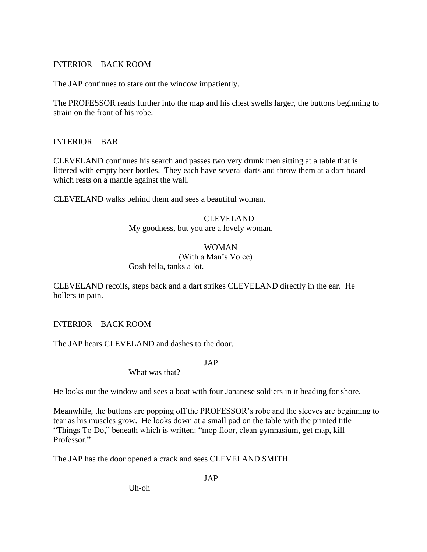# INTERIOR – BACK ROOM

The JAP continues to stare out the window impatiently.

The PROFESSOR reads further into the map and his chest swells larger, the buttons beginning to strain on the front of his robe.

# INTERIOR – BAR

CLEVELAND continues his search and passes two very drunk men sitting at a table that is littered with empty beer bottles. They each have several darts and throw them at a dart board which rests on a mantle against the wall.

CLEVELAND walks behind them and sees a beautiful woman.

# CLEVELAND

My goodness, but you are a lovely woman.

# WOMAN

(With a Man"s Voice)

Gosh fella, tanks a lot.

CLEVELAND recoils, steps back and a dart strikes CLEVELAND directly in the ear. He hollers in pain.

# INTERIOR – BACK ROOM

The JAP hears CLEVELAND and dashes to the door.

JAP

What was that?

He looks out the window and sees a boat with four Japanese soldiers in it heading for shore.

Meanwhile, the buttons are popping off the PROFESSOR's robe and the sleeves are beginning to tear as his muscles grow. He looks down at a small pad on the table with the printed title "Things To Do," beneath which is written: "mop floor, clean gymnasium, get map, kill Professor."

The JAP has the door opened a crack and sees CLEVELAND SMITH.

JAP

Uh-oh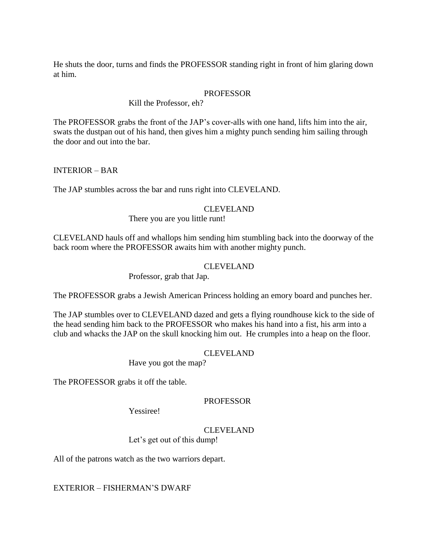He shuts the door, turns and finds the PROFESSOR standing right in front of him glaring down at him.

# **PROFESSOR**

### Kill the Professor, eh?

The PROFESSOR grabs the front of the JAP"s cover-alls with one hand, lifts him into the air, swats the dustpan out of his hand, then gives him a mighty punch sending him sailing through the door and out into the bar.

# INTERIOR – BAR

The JAP stumbles across the bar and runs right into CLEVELAND.

## CLEVELAND

There you are you little runt!

CLEVELAND hauls off and whallops him sending him stumbling back into the doorway of the back room where the PROFESSOR awaits him with another mighty punch.

## CLEVELAND

Professor, grab that Jap.

The PROFESSOR grabs a Jewish American Princess holding an emory board and punches her.

The JAP stumbles over to CLEVELAND dazed and gets a flying roundhouse kick to the side of the head sending him back to the PROFESSOR who makes his hand into a fist, his arm into a club and whacks the JAP on the skull knocking him out. He crumples into a heap on the floor.

### CLEVELAND

Have you got the map?

The PROFESSOR grabs it off the table.

### PROFESSOR

Yessiree!

# CLEVELAND

Let's get out of this dump!

All of the patrons watch as the two warriors depart.

EXTERIOR – FISHERMAN"S DWARF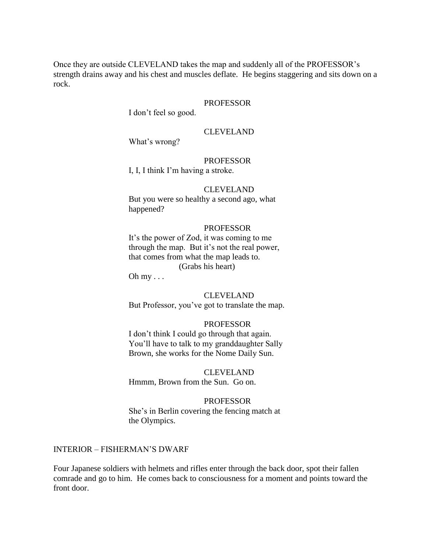Once they are outside CLEVELAND takes the map and suddenly all of the PROFESSOR"s strength drains away and his chest and muscles deflate. He begins staggering and sits down on a rock.

#### PROFESSOR

I don"t feel so good.

# CLEVELAND

What's wrong?

### PROFESSOR

I, I, I think I"m having a stroke.

#### CLEVELAND

But you were so healthy a second ago, what happened?

#### PROFESSOR

It's the power of Zod, it was coming to me through the map. But it"s not the real power, that comes from what the map leads to. (Grabs his heart)

Oh  $my \ldots$ 

## CLEVELAND

But Professor, you"ve got to translate the map.

#### PROFESSOR

I don"t think I could go through that again. You"ll have to talk to my granddaughter Sally Brown, she works for the Nome Daily Sun.

### CLEVELAND

Hmmm, Brown from the Sun. Go on.

#### PROFESSOR

She"s in Berlin covering the fencing match at the Olympics.

#### INTERIOR – FISHERMAN"S DWARF

Four Japanese soldiers with helmets and rifles enter through the back door, spot their fallen comrade and go to him. He comes back to consciousness for a moment and points toward the front door.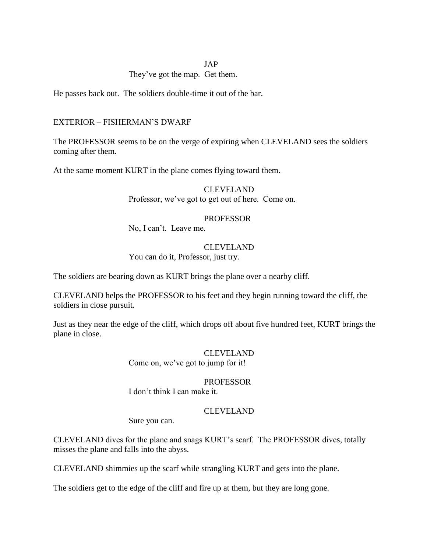### JAP

# They've got the map. Get them.

He passes back out. The soldiers double-time it out of the bar.

# EXTERIOR – FISHERMAN"S DWARF

The PROFESSOR seems to be on the verge of expiring when CLEVELAND sees the soldiers coming after them.

At the same moment KURT in the plane comes flying toward them.

CLEVELAND Professor, we've got to get out of here. Come on.

### PROFESSOR

No, I can"t. Leave me.

#### CLEVELAND

You can do it, Professor, just try.

The soldiers are bearing down as KURT brings the plane over a nearby cliff.

CLEVELAND helps the PROFESSOR to his feet and they begin running toward the cliff, the soldiers in close pursuit.

Just as they near the edge of the cliff, which drops off about five hundred feet, KURT brings the plane in close.

### CLEVELAND

Come on, we've got to jump for it!

## PROFESSOR

I don"t think I can make it.

#### CLEVELAND

Sure you can.

CLEVELAND dives for the plane and snags KURT"s scarf. The PROFESSOR dives, totally misses the plane and falls into the abyss.

CLEVELAND shimmies up the scarf while strangling KURT and gets into the plane.

The soldiers get to the edge of the cliff and fire up at them, but they are long gone.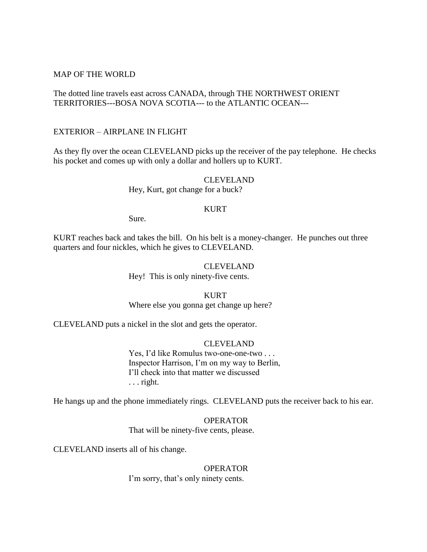#### MAP OF THE WORLD

# The dotted line travels east across CANADA, through THE NORTHWEST ORIENT TERRITORIES---BOSA NOVA SCOTIA--- to the ATLANTIC OCEAN---

#### EXTERIOR – AIRPLANE IN FLIGHT

As they fly over the ocean CLEVELAND picks up the receiver of the pay telephone. He checks his pocket and comes up with only a dollar and hollers up to KURT.

> CLEVELAND Hey, Kurt, got change for a buck?

### KURT

Sure.

KURT reaches back and takes the bill. On his belt is a money-changer. He punches out three quarters and four nickles, which he gives to CLEVELAND.

# CLEVELAND

Hey! This is only ninety-five cents.

### KURT

Where else you gonna get change up here?

CLEVELAND puts a nickel in the slot and gets the operator.

#### CLEVELAND

Yes, I'd like Romulus two-one-one-two . . . Inspector Harrison, I"m on my way to Berlin, I"ll check into that matter we discussed . . . right.

He hangs up and the phone immediately rings. CLEVELAND puts the receiver back to his ear.

OPERATOR That will be ninety-five cents, please.

CLEVELAND inserts all of his change.

OPERATOR I'm sorry, that's only ninety cents.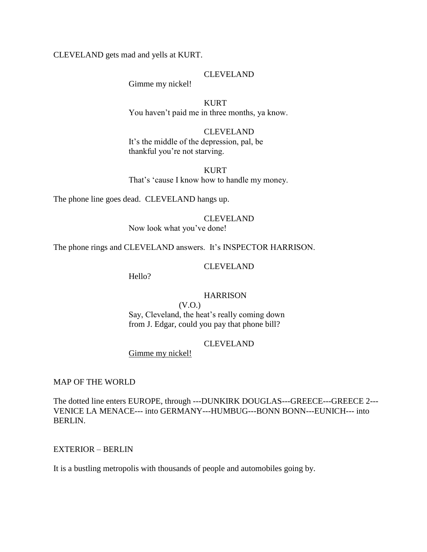CLEVELAND gets mad and yells at KURT.

#### CLEVELAND

Gimme my nickel!

KURT You haven't paid me in three months, ya know.

CLEVELAND It's the middle of the depression, pal, be thankful you"re not starving.

KURT That's 'cause I know how to handle my money.

The phone line goes dead. CLEVELAND hangs up.

# CLEVELAND

Now look what you've done!

The phone rings and CLEVELAND answers. It's INSPECTOR HARRISON.

#### CLEVELAND

Hello?

# **HARRISON**

(V.O.)

Say, Cleveland, the heat's really coming down from J. Edgar, could you pay that phone bill?

#### CLEVELAND

Gimme my nickel!

MAP OF THE WORLD

The dotted line enters EUROPE, through ---DUNKIRK DOUGLAS---GREECE---GREECE 2--- VENICE LA MENACE--- into GERMANY---HUMBUG---BONN BONN---EUNICH--- into BERLIN.

#### EXTERIOR – BERLIN

It is a bustling metropolis with thousands of people and automobiles going by.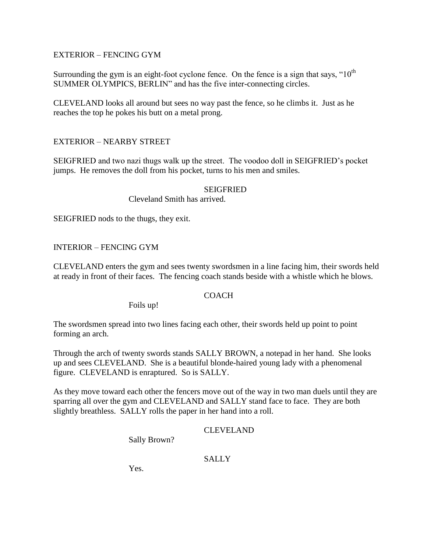# EXTERIOR – FENCING GYM

Surrounding the gym is an eight-foot cyclone fence. On the fence is a sign that says, " $10<sup>th</sup>$ SUMMER OLYMPICS, BERLIN" and has the five inter-connecting circles.

CLEVELAND looks all around but sees no way past the fence, so he climbs it. Just as he reaches the top he pokes his butt on a metal prong.

# EXTERIOR – NEARBY STREET

SEIGFRIED and two nazi thugs walk up the street. The voodoo doll in SEIGFRIED"s pocket jumps. He removes the doll from his pocket, turns to his men and smiles.

## **SEIGFRIED**

Cleveland Smith has arrived.

SEIGFRIED nods to the thugs, they exit.

# INTERIOR – FENCING GYM

CLEVELAND enters the gym and sees twenty swordsmen in a line facing him, their swords held at ready in front of their faces. The fencing coach stands beside with a whistle which he blows.

# **COACH**

Foils up!

The swordsmen spread into two lines facing each other, their swords held up point to point forming an arch.

Through the arch of twenty swords stands SALLY BROWN, a notepad in her hand. She looks up and sees CLEVELAND. She is a beautiful blonde-haired young lady with a phenomenal figure. CLEVELAND is enraptured. So is SALLY.

As they move toward each other the fencers move out of the way in two man duels until they are sparring all over the gym and CLEVELAND and SALLY stand face to face. They are both slightly breathless. SALLY rolls the paper in her hand into a roll.

# CLEVELAND

Sally Brown?

# **SALLY**

Yes.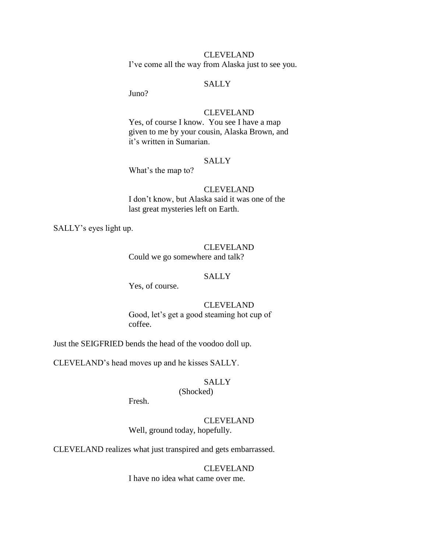CLEVELAND I've come all the way from Alaska just to see you.

# SALLY

Juno?

# CLEVELAND

Yes, of course I know. You see I have a map given to me by your cousin, Alaska Brown, and it"s written in Sumarian.

### **SALLY**

What's the map to?

# CLEVELAND

I don"t know, but Alaska said it was one of the last great mysteries left on Earth.

SALLY"s eyes light up.

# CLEVELAND

Could we go somewhere and talk?

# SALLY

Yes, of course.

# CLEVELAND

Good, let's get a good steaming hot cup of coffee.

Just the SEIGFRIED bends the head of the voodoo doll up.

CLEVELAND"s head moves up and he kisses SALLY.

# **SALLY**

# (Shocked)

Fresh.

### CLEVELAND

Well, ground today, hopefully.

CLEVELAND realizes what just transpired and gets embarrassed.

# CLEVELAND

I have no idea what came over me.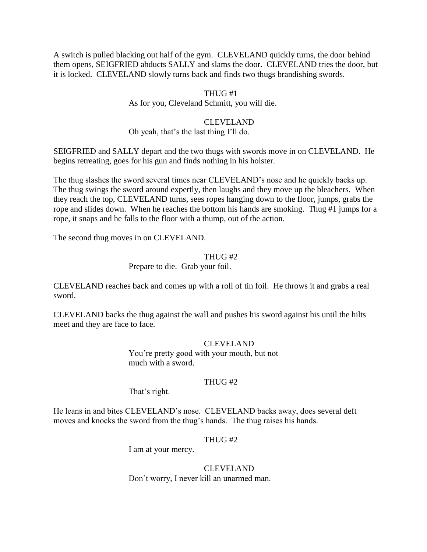A switch is pulled blacking out half of the gym. CLEVELAND quickly turns, the door behind them opens, SEIGFRIED abducts SALLY and slams the door. CLEVELAND tries the door, but it is locked. CLEVELAND slowly turns back and finds two thugs brandishing swords.

# THUG #1 As for you, Cleveland Schmitt, you will die.

# CLEVELAND

Oh yeah, that"s the last thing I"ll do.

SEIGFRIED and SALLY depart and the two thugs with swords move in on CLEVELAND. He begins retreating, goes for his gun and finds nothing in his holster.

The thug slashes the sword several times near CLEVELAND"s nose and he quickly backs up. The thug swings the sword around expertly, then laughs and they move up the bleachers. When they reach the top, CLEVELAND turns, sees ropes hanging down to the floor, jumps, grabs the rope and slides down. When he reaches the bottom his hands are smoking. Thug #1 jumps for a rope, it snaps and he falls to the floor with a thump, out of the action.

The second thug moves in on CLEVELAND.

# THUG #2

Prepare to die. Grab your foil.

CLEVELAND reaches back and comes up with a roll of tin foil. He throws it and grabs a real sword.

CLEVELAND backs the thug against the wall and pushes his sword against his until the hilts meet and they are face to face.

# CLEVELAND

You"re pretty good with your mouth, but not much with a sword.

# THUG #2

That's right.

He leans in and bites CLEVELAND"s nose. CLEVELAND backs away, does several deft moves and knocks the sword from the thug"s hands. The thug raises his hands.

# THUG #2

I am at your mercy.

CLEVELAND Don"t worry, I never kill an unarmed man.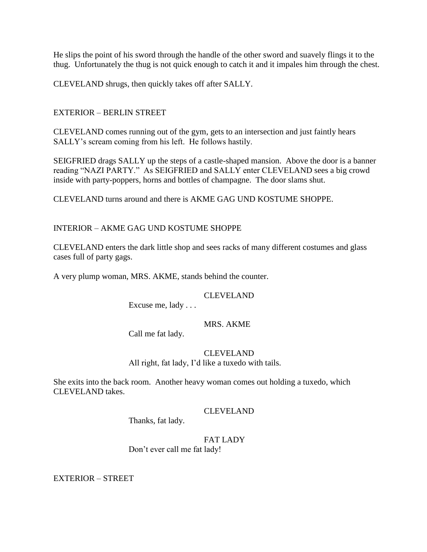He slips the point of his sword through the handle of the other sword and suavely flings it to the thug. Unfortunately the thug is not quick enough to catch it and it impales him through the chest.

CLEVELAND shrugs, then quickly takes off after SALLY.

# EXTERIOR – BERLIN STREET

CLEVELAND comes running out of the gym, gets to an intersection and just faintly hears SALLY"s scream coming from his left. He follows hastily.

SEIGFRIED drags SALLY up the steps of a castle-shaped mansion. Above the door is a banner reading "NAZI PARTY." As SEIGFRIED and SALLY enter CLEVELAND sees a big crowd inside with party-poppers, horns and bottles of champagne. The door slams shut.

CLEVELAND turns around and there is AKME GAG UND KOSTUME SHOPPE.

# INTERIOR – AKME GAG UND KOSTUME SHOPPE

CLEVELAND enters the dark little shop and sees racks of many different costumes and glass cases full of party gags.

A very plump woman, MRS. AKME, stands behind the counter.

### CLEVELAND

Excuse me, lady . . .

#### MRS. AKME

Call me fat lady.

#### CLEVELAND

All right, fat lady, I'd like a tuxedo with tails.

She exits into the back room. Another heavy woman comes out holding a tuxedo, which CLEVELAND takes.

#### CLEVELAND

Thanks, fat lady.

# FAT LADY

Don"t ever call me fat lady!

EXTERIOR – STREET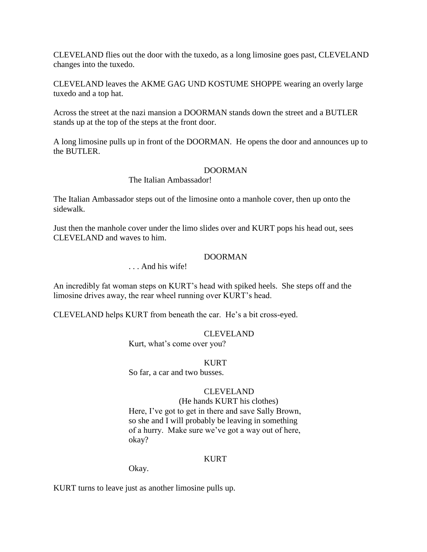CLEVELAND flies out the door with the tuxedo, as a long limosine goes past, CLEVELAND changes into the tuxedo.

CLEVELAND leaves the AKME GAG UND KOSTUME SHOPPE wearing an overly large tuxedo and a top hat.

Across the street at the nazi mansion a DOORMAN stands down the street and a BUTLER stands up at the top of the steps at the front door.

A long limosine pulls up in front of the DOORMAN. He opens the door and announces up to the BUTLER.

#### DOORMAN

# The Italian Ambassador!

The Italian Ambassador steps out of the limosine onto a manhole cover, then up onto the sidewalk.

Just then the manhole cover under the limo slides over and KURT pops his head out, sees CLEVELAND and waves to him.

### DOORMAN

# . . . And his wife!

An incredibly fat woman steps on KURT"s head with spiked heels. She steps off and the limosine drives away, the rear wheel running over KURT"s head.

CLEVELAND helps KURT from beneath the car. He"s a bit cross-eyed.

#### CLEVELAND

Kurt, what's come over you?

#### KURT

So far, a car and two busses.

# CLEVELAND

(He hands KURT his clothes) Here, I've got to get in there and save Sally Brown, so she and I will probably be leaving in something of a hurry. Make sure we"ve got a way out of here, okay?

#### **KURT**

Okay.

KURT turns to leave just as another limosine pulls up.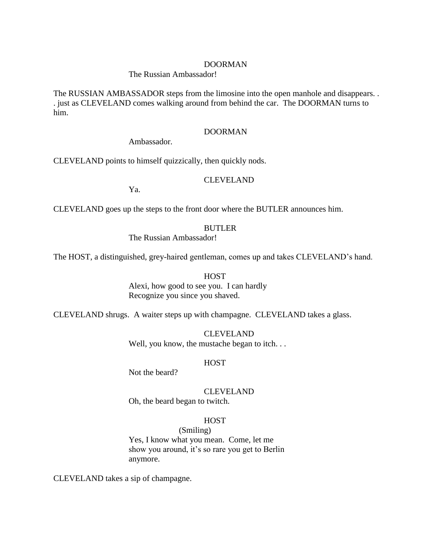#### DOORMAN

#### The Russian Ambassador!

The RUSSIAN AMBASSADOR steps from the limosine into the open manhole and disappears. . . just as CLEVELAND comes walking around from behind the car. The DOORMAN turns to him.

### DOORMAN

Ambassador.

CLEVELAND points to himself quizzically, then quickly nods.

### CLEVELAND

Ya.

CLEVELAND goes up the steps to the front door where the BUTLER announces him.

#### BUTLER

The Russian Ambassador!

The HOST, a distinguished, grey-haired gentleman, comes up and takes CLEVELAND"s hand.

#### **HOST**

Alexi, how good to see you. I can hardly Recognize you since you shaved.

CLEVELAND shrugs. A waiter steps up with champagne. CLEVELAND takes a glass.

CLEVELAND Well, you know, the mustache began to itch. . .

#### **HOST**

Not the beard?

CLEVELAND

Oh, the beard began to twitch.

#### **HOST**

(Smiling) Yes, I know what you mean. Come, let me show you around, it's so rare you get to Berlin anymore.

CLEVELAND takes a sip of champagne.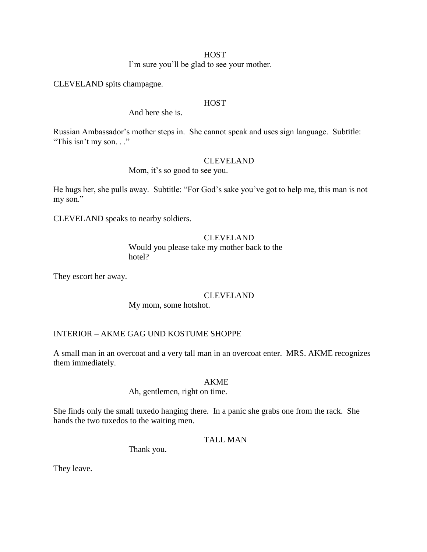#### **HOST**

I'm sure you'll be glad to see your mother.

CLEVELAND spits champagne.

### **HOST**

And here she is.

Russian Ambassador"s mother steps in. She cannot speak and uses sign language. Subtitle: "This isn"t my son. . ."

### CLEVELAND

Mom, it's so good to see you.

He hugs her, she pulls away. Subtitle: "For God's sake you've got to help me, this man is not my son."

CLEVELAND speaks to nearby soldiers.

### CLEVELAND

Would you please take my mother back to the hotel?

They escort her away.

### CLEVELAND

My mom, some hotshot.

# INTERIOR – AKME GAG UND KOSTUME SHOPPE

A small man in an overcoat and a very tall man in an overcoat enter. MRS. AKME recognizes them immediately.

#### AKME

### Ah, gentlemen, right on time.

She finds only the small tuxedo hanging there. In a panic she grabs one from the rack. She hands the two tuxedos to the waiting men.

#### TALL MAN

Thank you.

They leave.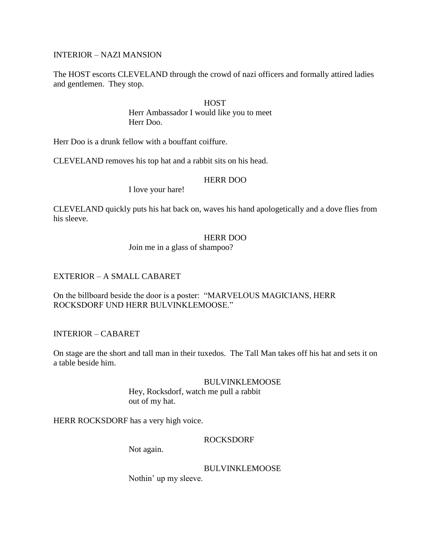### INTERIOR – NAZI MANSION

The HOST escorts CLEVELAND through the crowd of nazi officers and formally attired ladies and gentlemen. They stop.

#### **HOST**

Herr Ambassador I would like you to meet Herr Doo.

Herr Doo is a drunk fellow with a bouffant coiffure.

CLEVELAND removes his top hat and a rabbit sits on his head.

### HERR DOO

I love your hare!

CLEVELAND quickly puts his hat back on, waves his hand apologetically and a dove flies from his sleeve.

### HERR DOO

Join me in a glass of shampoo?

### EXTERIOR – A SMALL CABARET

On the billboard beside the door is a poster: "MARVELOUS MAGICIANS, HERR ROCKSDORF UND HERR BULVINKLEMOOSE."

INTERIOR – CABARET

On stage are the short and tall man in their tuxedos. The Tall Man takes off his hat and sets it on a table beside him.

#### BULVINKLEMOOSE

Hey, Rocksdorf, watch me pull a rabbit out of my hat.

HERR ROCKSDORF has a very high voice.

### ROCKSDORF

Not again.

BULVINKLEMOOSE

Nothin" up my sleeve.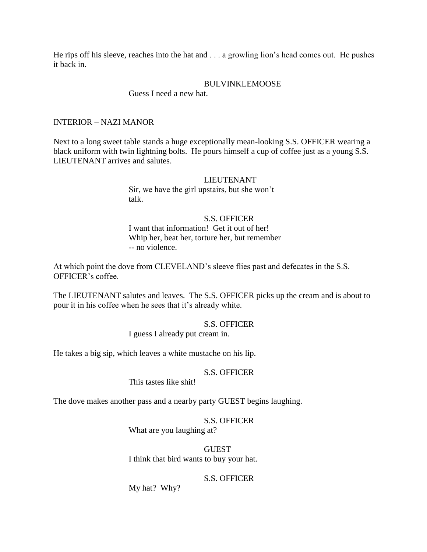He rips off his sleeve, reaches into the hat and . . . a growling lion's head comes out. He pushes it back in.

### BULVINKLEMOOSE

### Guess I need a new hat.

### INTERIOR – NAZI MANOR

Next to a long sweet table stands a huge exceptionally mean-looking S.S. OFFICER wearing a black uniform with twin lightning bolts. He pours himself a cup of coffee just as a young S.S. LIEUTENANT arrives and salutes.

> LIEUTENANT Sir, we have the girl upstairs, but she won"t talk.

#### S.S. OFFICER

I want that information! Get it out of her! Whip her, beat her, torture her, but remember -- no violence.

At which point the dove from CLEVELAND"s sleeve flies past and defecates in the S.S. OFFICER"s coffee.

The LIEUTENANT salutes and leaves. The S.S. OFFICER picks up the cream and is about to pour it in his coffee when he sees that it's already white.

#### S.S. OFFICER I guess I already put cream in.

He takes a big sip, which leaves a white mustache on his lip.

#### S.S. OFFICER

This tastes like shit!

The dove makes another pass and a nearby party GUEST begins laughing.

S.S. OFFICER What are you laughing at?

GUEST I think that bird wants to buy your hat.

#### S.S. OFFICER

My hat? Why?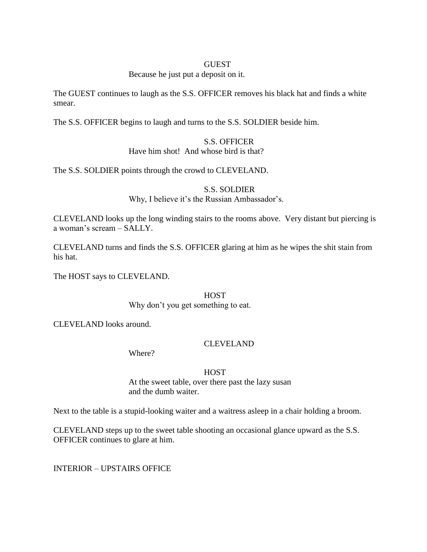#### **GUEST**

#### Because he just put a deposit on it.

The GUEST continues to laugh as the S.S. OFFICER removes his black hat and finds a white smear.

The S.S. OFFICER begins to laugh and turns to the S.S. SOLDIER beside him.

# S.S. OFFICER

Have him shot! And whose bird is that?

The S.S. SOLDIER points through the crowd to CLEVELAND.

S.S. SOLDIER Why, I believe it's the Russian Ambassador's.

CLEVELAND looks up the long winding stairs to the rooms above. Very distant but piercing is a woman"s scream – SALLY.

CLEVELAND turns and finds the S.S. OFFICER glaring at him as he wipes the shit stain from his hat.

The HOST says to CLEVELAND.

#### **HOST**

Why don"t you get something to eat.

CLEVELAND looks around.

### CLEVELAND

Where?

### **HOST**

At the sweet table, over there past the lazy susan and the dumb waiter.

Next to the table is a stupid-looking waiter and a waitress asleep in a chair holding a broom.

CLEVELAND steps up to the sweet table shooting an occasional glance upward as the S.S. OFFICER continues to glare at him.

INTERIOR – UPSTAIRS OFFICE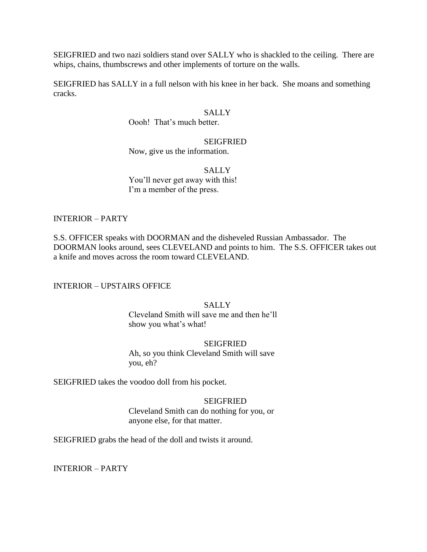SEIGFRIED and two nazi soldiers stand over SALLY who is shackled to the ceiling. There are whips, chains, thumbscrews and other implements of torture on the walls.

SEIGFRIED has SALLY in a full nelson with his knee in her back. She moans and something cracks.

#### **SALLY**

Oooh! That"s much better.

# SEIGFRIED

Now, give us the information.

### **SALLY** You'll never get away with this! I'm a member of the press.

### INTERIOR – PARTY

S.S. OFFICER speaks with DOORMAN and the disheveled Russian Ambassador. The DOORMAN looks around, sees CLEVELAND and points to him. The S.S. OFFICER takes out a knife and moves across the room toward CLEVELAND.

#### INTERIOR – UPSTAIRS OFFICE

### **SALLY**

Cleveland Smith will save me and then he"ll show you what's what!

#### **SEIGFRIED**

Ah, so you think Cleveland Smith will save you, eh?

SEIGFRIED takes the voodoo doll from his pocket.

#### **SEIGFRIED**

Cleveland Smith can do nothing for you, or anyone else, for that matter.

SEIGFRIED grabs the head of the doll and twists it around.

INTERIOR – PARTY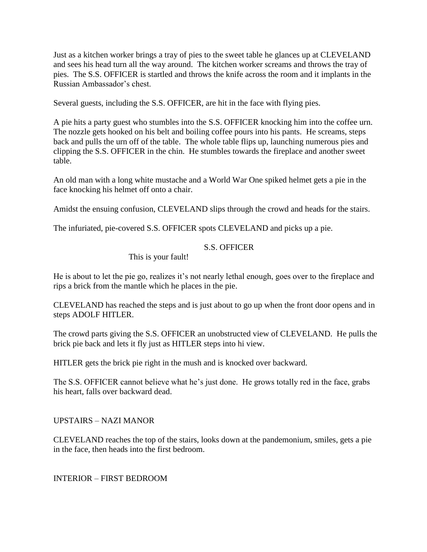Just as a kitchen worker brings a tray of pies to the sweet table he glances up at CLEVELAND and sees his head turn all the way around. The kitchen worker screams and throws the tray of pies. The S.S. OFFICER is startled and throws the knife across the room and it implants in the Russian Ambassador"s chest.

Several guests, including the S.S. OFFICER, are hit in the face with flying pies.

A pie hits a party guest who stumbles into the S.S. OFFICER knocking him into the coffee urn. The nozzle gets hooked on his belt and boiling coffee pours into his pants. He screams, steps back and pulls the urn off of the table. The whole table flips up, launching numerous pies and clipping the S.S. OFFICER in the chin. He stumbles towards the fireplace and another sweet table.

An old man with a long white mustache and a World War One spiked helmet gets a pie in the face knocking his helmet off onto a chair.

Amidst the ensuing confusion, CLEVELAND slips through the crowd and heads for the stairs.

The infuriated, pie-covered S.S. OFFICER spots CLEVELAND and picks up a pie.

### S.S. OFFICER

This is your fault!

He is about to let the pie go, realizes it's not nearly lethal enough, goes over to the fireplace and rips a brick from the mantle which he places in the pie.

CLEVELAND has reached the steps and is just about to go up when the front door opens and in steps ADOLF HITLER.

The crowd parts giving the S.S. OFFICER an unobstructed view of CLEVELAND. He pulls the brick pie back and lets it fly just as HITLER steps into hi view.

HITLER gets the brick pie right in the mush and is knocked over backward.

The S.S. OFFICER cannot believe what he's just done. He grows totally red in the face, grabs his heart, falls over backward dead.

UPSTAIRS – NAZI MANOR

CLEVELAND reaches the top of the stairs, looks down at the pandemonium, smiles, gets a pie in the face, then heads into the first bedroom.

INTERIOR – FIRST BEDROOM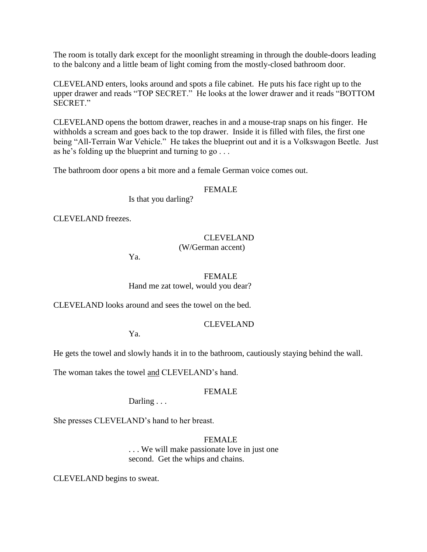The room is totally dark except for the moonlight streaming in through the double-doors leading to the balcony and a little beam of light coming from the mostly-closed bathroom door.

CLEVELAND enters, looks around and spots a file cabinet. He puts his face right up to the upper drawer and reads "TOP SECRET." He looks at the lower drawer and it reads "BOTTOM SECRET."

CLEVELAND opens the bottom drawer, reaches in and a mouse-trap snaps on his finger. He withholds a scream and goes back to the top drawer. Inside it is filled with files, the first one being "All-Terrain War Vehicle." He takes the blueprint out and it is a Volkswagon Beetle. Just as he's folding up the blueprint and turning to  $go \ldots$ 

The bathroom door opens a bit more and a female German voice comes out.

### FEMALE

Is that you darling?

CLEVELAND freezes.

### CLEVELAND

(W/German accent)

Ya.

### FEMALE

Hand me zat towel, would you dear?

CLEVELAND looks around and sees the towel on the bed.

### CLEVELAND

Ya.

He gets the towel and slowly hands it in to the bathroom, cautiously staying behind the wall.

The woman takes the towel and CLEVELAND"s hand.

### FEMALE

Darling . . .

She presses CLEVELAND"s hand to her breast.

### FEMALE

. . . We will make passionate love in just one second. Get the whips and chains.

CLEVELAND begins to sweat.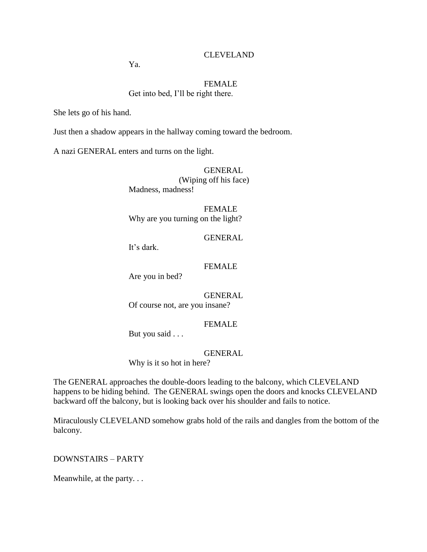### CLEVELAND

Ya.

### FEMALE Get into bed, I"ll be right there.

She lets go of his hand.

Just then a shadow appears in the hallway coming toward the bedroom.

A nazi GENERAL enters and turns on the light.

GENERAL (Wiping off his face) Madness, madness!

FEMALE Why are you turning on the light?

GENERAL

It"s dark.

### FEMALE

Are you in bed?

GENERAL Of course not, are you insane?

### FEMALE

But you said . . .

#### GENERAL

Why is it so hot in here?

The GENERAL approaches the double-doors leading to the balcony, which CLEVELAND happens to be hiding behind. The GENERAL swings open the doors and knocks CLEVELAND backward off the balcony, but is looking back over his shoulder and fails to notice.

Miraculously CLEVELAND somehow grabs hold of the rails and dangles from the bottom of the balcony.

DOWNSTAIRS – PARTY

Meanwhile, at the party. . .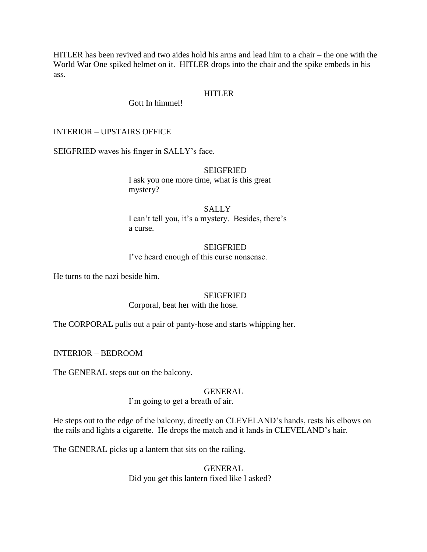HITLER has been revived and two aides hold his arms and lead him to a chair – the one with the World War One spiked helmet on it. HITLER drops into the chair and the spike embeds in his ass.

# HITLER

Gott In himmel!

### INTERIOR – UPSTAIRS OFFICE

SEIGFRIED waves his finger in SALLY"s face.

#### **SEIGFRIED**

I ask you one more time, what is this great mystery?

SALLY I can't tell you, it's a mystery. Besides, there's a curse.

#### SEIGFRIED I've heard enough of this curse nonsense.

He turns to the nazi beside him.

### **SEIGFRIED**

Corporal, beat her with the hose.

The CORPORAL pulls out a pair of panty-hose and starts whipping her.

INTERIOR – BEDROOM

The GENERAL steps out on the balcony.

#### GENERAL

I'm going to get a breath of air.

He steps out to the edge of the balcony, directly on CLEVELAND"s hands, rests his elbows on the rails and lights a cigarette. He drops the match and it lands in CLEVELAND"s hair.

The GENERAL picks up a lantern that sits on the railing.

GENERAL Did you get this lantern fixed like I asked?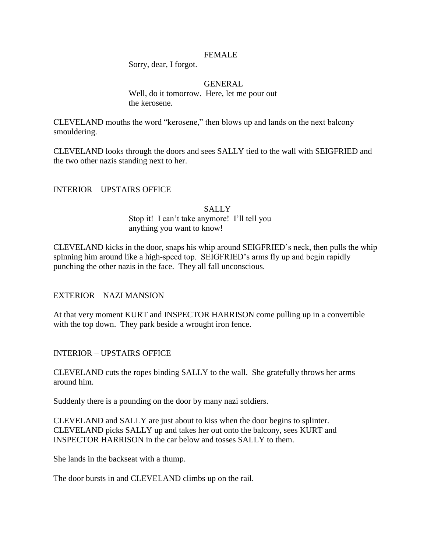### FEMALE

Sorry, dear, I forgot.

#### GENERAL

Well, do it tomorrow. Here, let me pour out the kerosene.

CLEVELAND mouths the word "kerosene," then blows up and lands on the next balcony smouldering.

CLEVELAND looks through the doors and sees SALLY tied to the wall with SEIGFRIED and the two other nazis standing next to her.

### INTERIOR – UPSTAIRS OFFICE

### **SALLY** Stop it! I can"t take anymore! I"ll tell you anything you want to know!

CLEVELAND kicks in the door, snaps his whip around SEIGFRIED"s neck, then pulls the whip spinning him around like a high-speed top. SEIGFRIED"s arms fly up and begin rapidly punching the other nazis in the face. They all fall unconscious.

### EXTERIOR – NAZI MANSION

At that very moment KURT and INSPECTOR HARRISON come pulling up in a convertible with the top down. They park beside a wrought iron fence.

INTERIOR – UPSTAIRS OFFICE

CLEVELAND cuts the ropes binding SALLY to the wall. She gratefully throws her arms around him.

Suddenly there is a pounding on the door by many nazi soldiers.

CLEVELAND and SALLY are just about to kiss when the door begins to splinter. CLEVELAND picks SALLY up and takes her out onto the balcony, sees KURT and INSPECTOR HARRISON in the car below and tosses SALLY to them.

She lands in the backseat with a thump.

The door bursts in and CLEVELAND climbs up on the rail.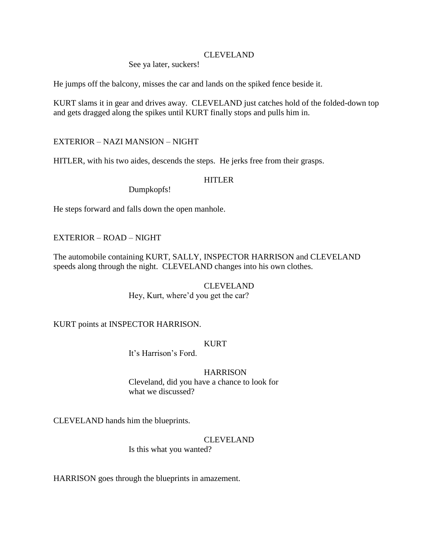### CLEVELAND

See ya later, suckers!

He jumps off the balcony, misses the car and lands on the spiked fence beside it.

KURT slams it in gear and drives away. CLEVELAND just catches hold of the folded-down top and gets dragged along the spikes until KURT finally stops and pulls him in.

EXTERIOR – NAZI MANSION – NIGHT

HITLER, with his two aides, descends the steps. He jerks free from their grasps.

# HITLER

Dumpkopfs!

He steps forward and falls down the open manhole.

# EXTERIOR – ROAD – NIGHT

The automobile containing KURT, SALLY, INSPECTOR HARRISON and CLEVELAND speeds along through the night. CLEVELAND changes into his own clothes.

> CLEVELAND Hey, Kurt, where'd you get the car?

KURT points at INSPECTOR HARRISON.

### KURT

It's Harrison's Ford.

### HARRISON

Cleveland, did you have a chance to look for what we discussed?

CLEVELAND hands him the blueprints.

# CLEVELAND

Is this what you wanted?

HARRISON goes through the blueprints in amazement.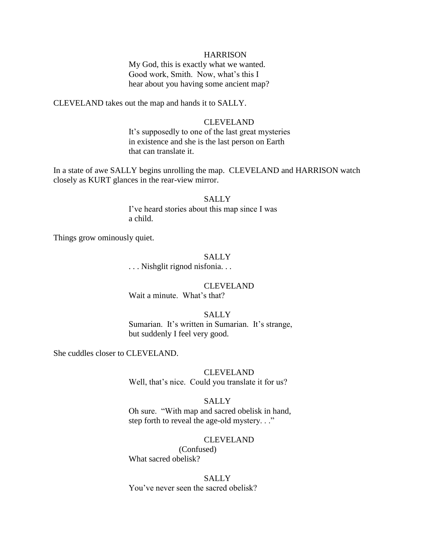#### **HARRISON**

My God, this is exactly what we wanted. Good work, Smith. Now, what's this I hear about you having some ancient map?

CLEVELAND takes out the map and hands it to SALLY.

#### CLEVELAND

It's supposedly to one of the last great mysteries in existence and she is the last person on Earth that can translate it.

In a state of awe SALLY begins unrolling the map. CLEVELAND and HARRISON watch closely as KURT glances in the rear-view mirror.

### **SALLY**

I've heard stories about this map since I was a child.

Things grow ominously quiet.

### **SALLY**

. . . Nishglit rignod nisfonia. . .

#### CLEVELAND

Wait a minute. What's that?

### **SALLY**

Sumarian. It's written in Sumarian. It's strange, but suddenly I feel very good.

She cuddles closer to CLEVELAND.

#### CLEVELAND

Well, that's nice. Could you translate it for us?

#### **SALLY**

Oh sure. "With map and sacred obelisk in hand, step forth to reveal the age-old mystery. . ."

#### CLEVELAND

(Confused) What sacred obelisk?

#### **SALLY**

You"ve never seen the sacred obelisk?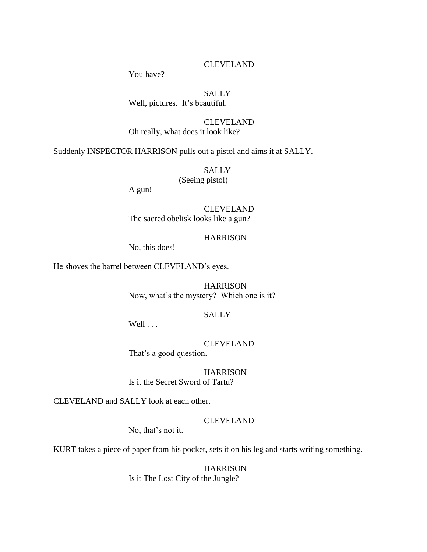## CLEVELAND

You have?

# **SALLY**

Well, pictures. It's beautiful.

# CLEVELAND

Oh really, what does it look like?

Suddenly INSPECTOR HARRISON pulls out a pistol and aims it at SALLY.

SALLY

(Seeing pistol)

A gun!

CLEVELAND The sacred obelisk looks like a gun?

### **HARRISON**

No, this does!

He shoves the barrel between CLEVELAND"s eyes.

HARRISON Now, what's the mystery? Which one is it?

### SALLY

Well . . .

CLEVELAND That's a good question.

**HARRISON** 

Is it the Secret Sword of Tartu?

CLEVELAND and SALLY look at each other.

#### CLEVELAND

No, that's not it.

KURT takes a piece of paper from his pocket, sets it on his leg and starts writing something.

**HARRISON** Is it The Lost City of the Jungle?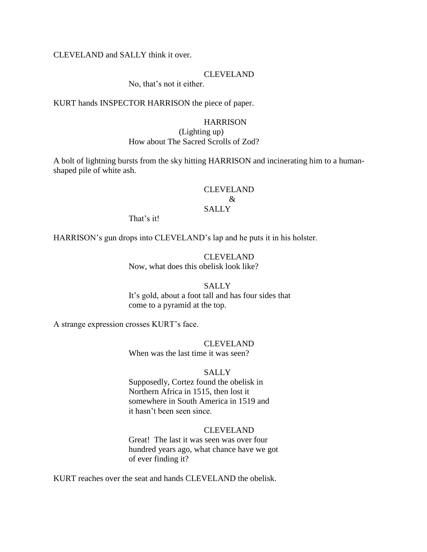### CLEVELAND and SALLY think it over.

#### CLEVELAND

No, that's not it either.

KURT hands INSPECTOR HARRISON the piece of paper.

#### **HARRISON**

#### (Lighting up) How about The Sacred Scrolls of Zod?

A bolt of lightning bursts from the sky hitting HARRISON and incinerating him to a humanshaped pile of white ash.

### CLEVELAND  $\mathcal{R}$ SALLY

That's it!

HARRISON"s gun drops into CLEVELAND"s lap and he puts it in his holster.

CLEVELAND Now, what does this obelisk look like?

### **SALLY** It's gold, about a foot tall and has four sides that come to a pyramid at the top.

A strange expression crosses KURT"s face.

# CLEVELAND

When was the last time it was seen?

#### **SALLY**

Supposedly, Cortez found the obelisk in Northern Africa in 1515, then lost it somewhere in South America in 1519 and it hasn"t been seen since.

#### CLEVELAND

Great! The last it was seen was over four hundred years ago, what chance have we got of ever finding it?

KURT reaches over the seat and hands CLEVELAND the obelisk.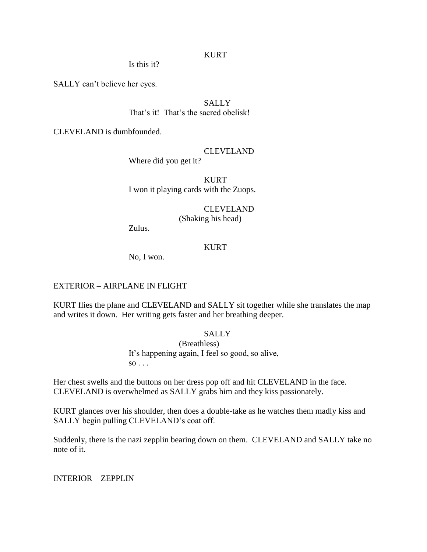### KURT

Is this it?

SALLY can"t believe her eyes.

**SALLY** That's it! That's the sacred obelisk!

CLEVELAND is dumbfounded.

### CLEVELAND

Where did you get it?

KURT I won it playing cards with the Zuops.

CLEVELAND

(Shaking his head)

Zulus.

### **KURT**

No, I won.

#### EXTERIOR – AIRPLANE IN FLIGHT

KURT flies the plane and CLEVELAND and SALLY sit together while she translates the map and writes it down. Her writing gets faster and her breathing deeper.

# **SALLY**

(Breathless) It's happening again, I feel so good, so alive,  $\overline{so} \ldots$ 

Her chest swells and the buttons on her dress pop off and hit CLEVELAND in the face. CLEVELAND is overwhelmed as SALLY grabs him and they kiss passionately.

KURT glances over his shoulder, then does a double-take as he watches them madly kiss and SALLY begin pulling CLEVELAND's coat off.

Suddenly, there is the nazi zepplin bearing down on them. CLEVELAND and SALLY take no note of it.

INTERIOR – ZEPPLIN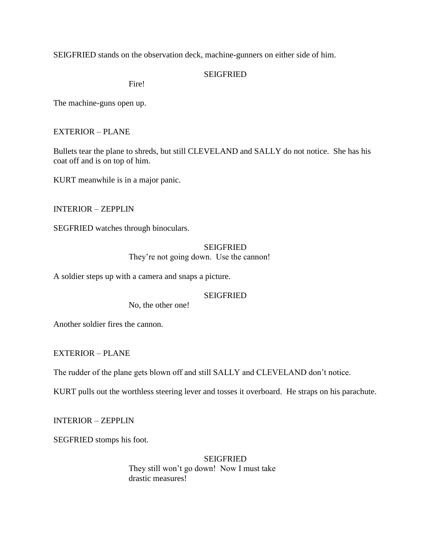SEIGFRIED stands on the observation deck, machine-gunners on either side of him.

### **SEIGFRIED**

Fire!

The machine-guns open up.

### EXTERIOR – PLANE

Bullets tear the plane to shreds, but still CLEVELAND and SALLY do not notice. She has his coat off and is on top of him.

KURT meanwhile is in a major panic.

INTERIOR – ZEPPLIN

SEGFRIED watches through binoculars.

# **SEIGFRIED**

They're not going down. Use the cannon!

A soldier steps up with a camera and snaps a picture.

### **SEIGFRIED**

No, the other one!

Another soldier fires the cannon.

EXTERIOR – PLANE

The rudder of the plane gets blown off and still SALLY and CLEVELAND don"t notice.

KURT pulls out the worthless steering lever and tosses it overboard. He straps on his parachute.

INTERIOR – ZEPPLIN

SEGFRIED stomps his foot.

#### **SEIGFRIED**

They still won"t go down! Now I must take drastic measures!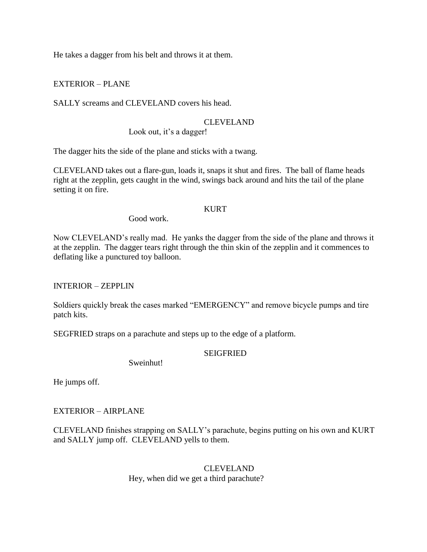He takes a dagger from his belt and throws it at them.

EXTERIOR – PLANE

SALLY screams and CLEVELAND covers his head.

### CLEVELAND

Look out, it's a dagger!

The dagger hits the side of the plane and sticks with a twang.

CLEVELAND takes out a flare-gun, loads it, snaps it shut and fires. The ball of flame heads right at the zepplin, gets caught in the wind, swings back around and hits the tail of the plane setting it on fire.

### KURT

Good work.

Now CLEVELAND"s really mad. He yanks the dagger from the side of the plane and throws it at the zepplin. The dagger tears right through the thin skin of the zepplin and it commences to deflating like a punctured toy balloon.

INTERIOR – ZEPPLIN

Soldiers quickly break the cases marked "EMERGENCY" and remove bicycle pumps and tire patch kits.

SEGFRIED straps on a parachute and steps up to the edge of a platform.

### SEIGFRIED

Sweinhut!

He jumps off.

### EXTERIOR – AIRPLANE

CLEVELAND finishes strapping on SALLY"s parachute, begins putting on his own and KURT and SALLY jump off. CLEVELAND yells to them.

> CLEVELAND Hey, when did we get a third parachute?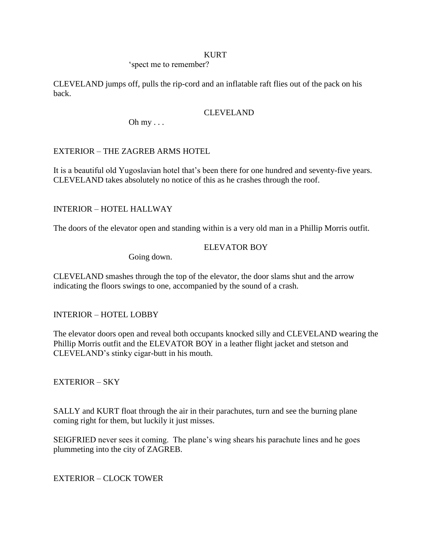#### KURT

### 'spect me to remember?

CLEVELAND jumps off, pulls the rip-cord and an inflatable raft flies out of the pack on his back.

### CLEVELAND

Oh  $my \ldots$ 

# EXTERIOR – THE ZAGREB ARMS HOTEL

It is a beautiful old Yugoslavian hotel that's been there for one hundred and seventy-five years. CLEVELAND takes absolutely no notice of this as he crashes through the roof.

## INTERIOR – HOTEL HALLWAY

The doors of the elevator open and standing within is a very old man in a Phillip Morris outfit.

### ELEVATOR BOY

Going down.

CLEVELAND smashes through the top of the elevator, the door slams shut and the arrow indicating the floors swings to one, accompanied by the sound of a crash.

INTERIOR – HOTEL LOBBY

The elevator doors open and reveal both occupants knocked silly and CLEVELAND wearing the Phillip Morris outfit and the ELEVATOR BOY in a leather flight jacket and stetson and CLEVELAND"s stinky cigar-butt in his mouth.

EXTERIOR – SKY

SALLY and KURT float through the air in their parachutes, turn and see the burning plane coming right for them, but luckily it just misses.

SEIGFRIED never sees it coming. The plane's wing shears his parachute lines and he goes plummeting into the city of ZAGREB.

EXTERIOR – CLOCK TOWER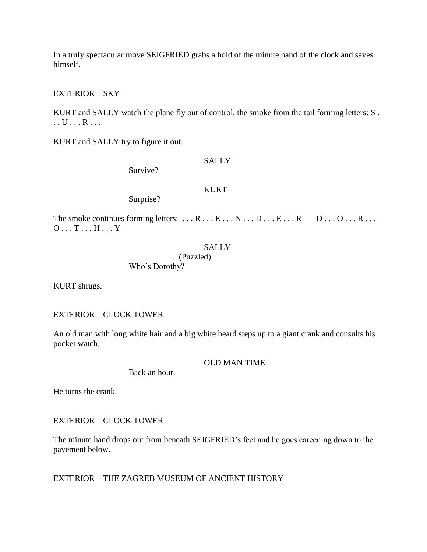In a truly spectacular move SEIGFRIED grabs a hold of the minute hand of the clock and saves himself.

### EXTERIOR – SKY

KURT and SALLY watch the plane fly out of control, the smoke from the tail forming letters: S . . . U . . . R . . .

KURT and SALLY try to figure it out.

**SALLY** 

Survive?

**KURT** 

Surprise?

The smoke continues forming letters:  $\dots$  R  $\dots$  E  $\dots$  N  $\dots$  D  $\dots$  E  $\dots$  R  $\dots$  D  $\dots$  O  $\dots$  R  $\dots$  R  $\dots$ O . . . T . . . H . . . Y

### **SALLY**

(Puzzled)

Who"s Dorothy?

KURT shrugs.

# EXTERIOR – CLOCK TOWER

An old man with long white hair and a big white beard steps up to a giant crank and consults his pocket watch.

OLD MAN TIME

Back an hour.

He turns the crank.

# EXTERIOR – CLOCK TOWER

The minute hand drops out from beneath SEIGFRIED"s feet and he goes careening down to the pavement below.

# EXTERIOR – THE ZAGREB MUSEUM OF ANCIENT HISTORY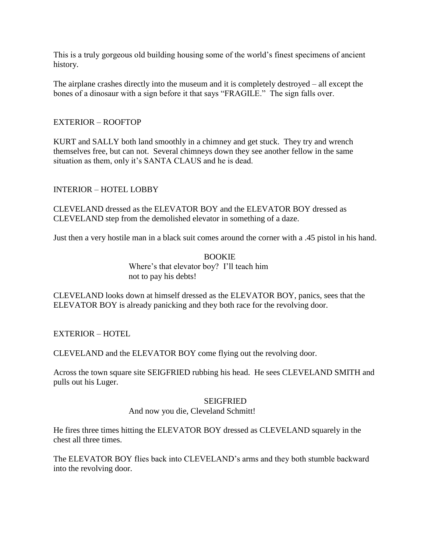This is a truly gorgeous old building housing some of the world"s finest specimens of ancient history.

The airplane crashes directly into the museum and it is completely destroyed – all except the bones of a dinosaur with a sign before it that says "FRAGILE." The sign falls over.

# EXTERIOR – ROOFTOP

KURT and SALLY both land smoothly in a chimney and get stuck. They try and wrench themselves free, but can not. Several chimneys down they see another fellow in the same situation as them, only it's SANTA CLAUS and he is dead.

# INTERIOR – HOTEL LOBBY

CLEVELAND dressed as the ELEVATOR BOY and the ELEVATOR BOY dressed as CLEVELAND step from the demolished elevator in something of a daze.

Just then a very hostile man in a black suit comes around the corner with a .45 pistol in his hand.

### BOOKIE Where's that elevator boy? I'll teach him not to pay his debts!

CLEVELAND looks down at himself dressed as the ELEVATOR BOY, panics, sees that the ELEVATOR BOY is already panicking and they both race for the revolving door.

EXTERIOR – HOTEL

CLEVELAND and the ELEVATOR BOY come flying out the revolving door.

Across the town square site SEIGFRIED rubbing his head. He sees CLEVELAND SMITH and pulls out his Luger.

#### **SEIGFRIED**

### And now you die, Cleveland Schmitt!

He fires three times hitting the ELEVATOR BOY dressed as CLEVELAND squarely in the chest all three times.

The ELEVATOR BOY flies back into CLEVELAND"s arms and they both stumble backward into the revolving door.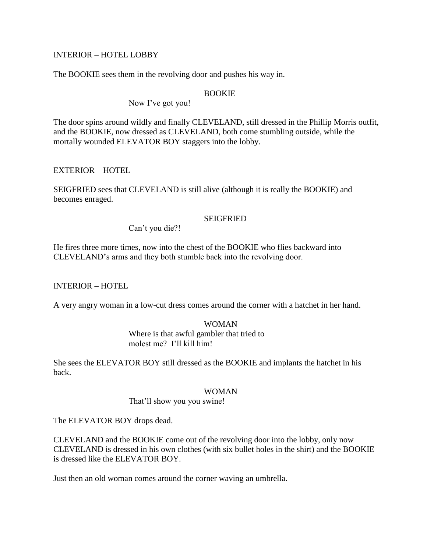### INTERIOR – HOTEL LOBBY

The BOOKIE sees them in the revolving door and pushes his way in.

#### BOOKIE

Now I've got you!

The door spins around wildly and finally CLEVELAND, still dressed in the Phillip Morris outfit, and the BOOKIE, now dressed as CLEVELAND, both come stumbling outside, while the mortally wounded ELEVATOR BOY staggers into the lobby.

# EXTERIOR – HOTEL

SEIGFRIED sees that CLEVELAND is still alive (although it is really the BOOKIE) and becomes enraged.

### **SEIGFRIED**

Can"t you die?!

He fires three more times, now into the chest of the BOOKIE who flies backward into CLEVELAND"s arms and they both stumble back into the revolving door.

INTERIOR – HOTEL

A very angry woman in a low-cut dress comes around the corner with a hatchet in her hand.

# WOMAN

Where is that awful gambler that tried to molest me? I"ll kill him!

She sees the ELEVATOR BOY still dressed as the BOOKIE and implants the hatchet in his back.

#### WOMAN

That"ll show you you swine!

The ELEVATOR BOY drops dead.

CLEVELAND and the BOOKIE come out of the revolving door into the lobby, only now CLEVELAND is dressed in his own clothes (with six bullet holes in the shirt) and the BOOKIE is dressed like the ELEVATOR BOY.

Just then an old woman comes around the corner waving an umbrella.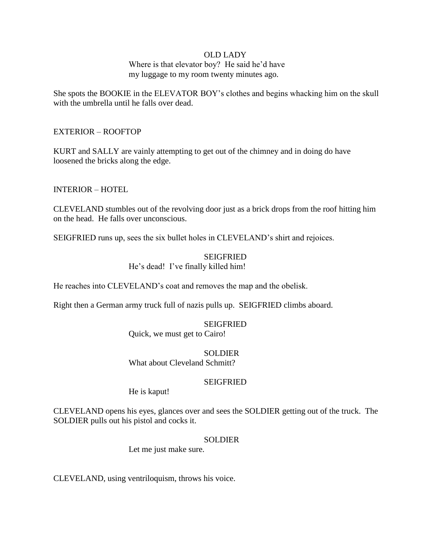### OLD LADY

### Where is that elevator boy? He said he'd have my luggage to my room twenty minutes ago.

She spots the BOOKIE in the ELEVATOR BOY"s clothes and begins whacking him on the skull with the umbrella until he falls over dead.

### EXTERIOR – ROOFTOP

KURT and SALLY are vainly attempting to get out of the chimney and in doing do have loosened the bricks along the edge.

INTERIOR – HOTEL

CLEVELAND stumbles out of the revolving door just as a brick drops from the roof hitting him on the head. He falls over unconscious.

SEIGFRIED runs up, sees the six bullet holes in CLEVELAND"s shirt and rejoices.

#### SEIGFRIED He's dead! I've finally killed him!

He reaches into CLEVELAND"s coat and removes the map and the obelisk.

Right then a German army truck full of nazis pulls up. SEIGFRIED climbs aboard.

#### SEIGFRIED

Quick, we must get to Cairo!

**SOLDIER** 

What about Cleveland Schmitt?

#### SEIGFRIED

He is kaput!

CLEVELAND opens his eyes, glances over and sees the SOLDIER getting out of the truck. The SOLDIER pulls out his pistol and cocks it.

#### SOLDIER

Let me just make sure.

CLEVELAND, using ventriloquism, throws his voice.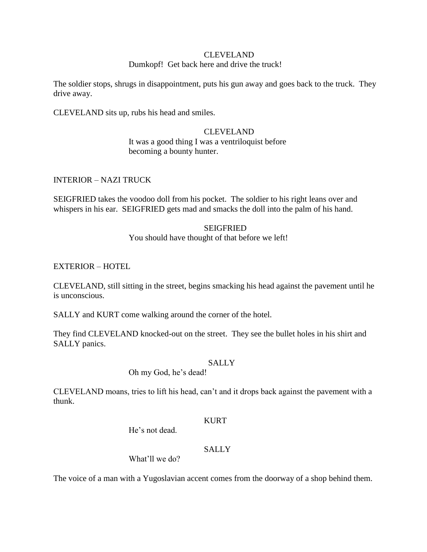#### CLEVELAND

### Dumkopf! Get back here and drive the truck!

The soldier stops, shrugs in disappointment, puts his gun away and goes back to the truck. They drive away.

CLEVELAND sits up, rubs his head and smiles.

# CLEVELAND

It was a good thing I was a ventriloquist before becoming a bounty hunter.

INTERIOR – NAZI TRUCK

SEIGFRIED takes the voodoo doll from his pocket. The soldier to his right leans over and whispers in his ear. SEIGFRIED gets mad and smacks the doll into the palm of his hand.

### SEIGFRIED

You should have thought of that before we left!

### EXTERIOR – HOTEL

CLEVELAND, still sitting in the street, begins smacking his head against the pavement until he is unconscious.

SALLY and KURT come walking around the corner of the hotel.

They find CLEVELAND knocked-out on the street. They see the bullet holes in his shirt and SALLY panics.

### **SALLY**

Oh my God, he"s dead!

CLEVELAND moans, tries to lift his head, can"t and it drops back against the pavement with a thunk.

#### KURT

He's not dead.

# **SALLY**

What'll we do?

The voice of a man with a Yugoslavian accent comes from the doorway of a shop behind them.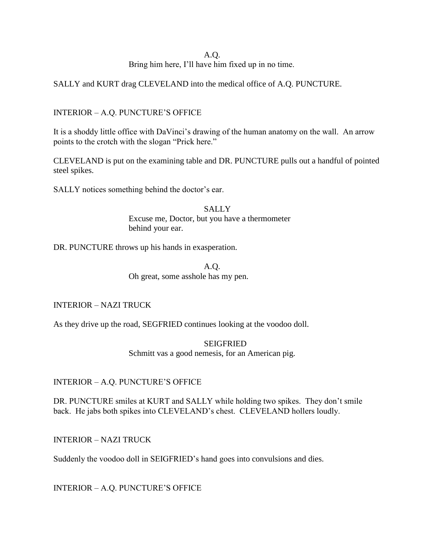# A.Q.

Bring him here, I"ll have him fixed up in no time.

SALLY and KURT drag CLEVELAND into the medical office of A.Q. PUNCTURE.

# INTERIOR – A.Q. PUNCTURE"S OFFICE

It is a shoddy little office with DaVinci"s drawing of the human anatomy on the wall. An arrow points to the crotch with the slogan "Prick here."

CLEVELAND is put on the examining table and DR. PUNCTURE pulls out a handful of pointed steel spikes.

SALLY notices something behind the doctor's ear.

**SALLY** Excuse me, Doctor, but you have a thermometer behind your ear.

DR. PUNCTURE throws up his hands in exasperation.

A.Q. Oh great, some asshole has my pen.

INTERIOR – NAZI TRUCK

As they drive up the road, SEGFRIED continues looking at the voodoo doll.

SEIGFRIED Schmitt vas a good nemesis, for an American pig.

INTERIOR – A.Q. PUNCTURE"S OFFICE

DR. PUNCTURE smiles at KURT and SALLY while holding two spikes. They don't smile back. He jabs both spikes into CLEVELAND"s chest. CLEVELAND hollers loudly.

INTERIOR – NAZI TRUCK

Suddenly the voodoo doll in SEIGFRIED"s hand goes into convulsions and dies.

INTERIOR – A.Q. PUNCTURE"S OFFICE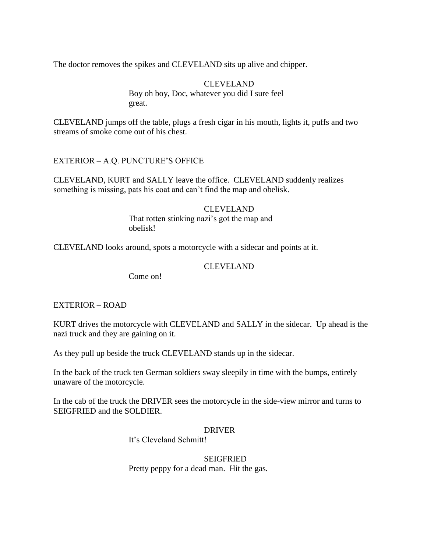The doctor removes the spikes and CLEVELAND sits up alive and chipper.

CLEVELAND Boy oh boy, Doc, whatever you did I sure feel great.

CLEVELAND jumps off the table, plugs a fresh cigar in his mouth, lights it, puffs and two streams of smoke come out of his chest.

EXTERIOR – A.Q. PUNCTURE"S OFFICE

CLEVELAND, KURT and SALLY leave the office. CLEVELAND suddenly realizes something is missing, pats his coat and can't find the map and obelisk.

> CLEVELAND That rotten stinking nazi's got the map and obelisk!

CLEVELAND looks around, spots a motorcycle with a sidecar and points at it.

### CLEVELAND

Come on!

### EXTERIOR – ROAD

KURT drives the motorcycle with CLEVELAND and SALLY in the sidecar. Up ahead is the nazi truck and they are gaining on it.

As they pull up beside the truck CLEVELAND stands up in the sidecar.

In the back of the truck ten German soldiers sway sleepily in time with the bumps, entirely unaware of the motorcycle.

In the cab of the truck the DRIVER sees the motorcycle in the side-view mirror and turns to SEIGFRIED and the SOLDIER.

### DRIVER

It"s Cleveland Schmitt!

**SEIGFRIED** Pretty peppy for a dead man. Hit the gas.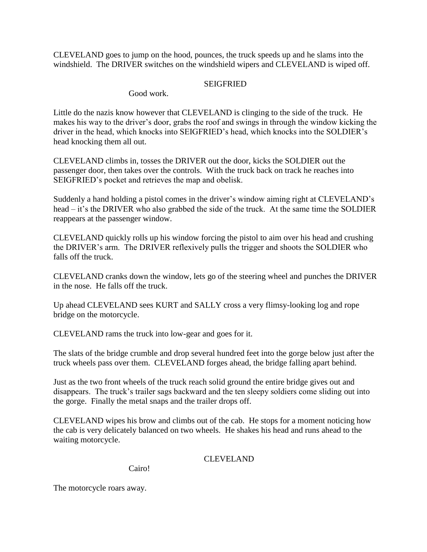CLEVELAND goes to jump on the hood, pounces, the truck speeds up and he slams into the windshield. The DRIVER switches on the windshield wipers and CLEVELAND is wiped off.

### SEIGFRIED

Good work.

Little do the nazis know however that CLEVELAND is clinging to the side of the truck. He makes his way to the driver's door, grabs the roof and swings in through the window kicking the driver in the head, which knocks into SEIGFRIED"s head, which knocks into the SOLDIER"s head knocking them all out.

CLEVELAND climbs in, tosses the DRIVER out the door, kicks the SOLDIER out the passenger door, then takes over the controls. With the truck back on track he reaches into SEIGFRIED"s pocket and retrieves the map and obelisk.

Suddenly a hand holding a pistol comes in the driver's window aiming right at CLEVELAND's head – it's the DRIVER who also grabbed the side of the truck. At the same time the SOLDIER reappears at the passenger window.

CLEVELAND quickly rolls up his window forcing the pistol to aim over his head and crushing the DRIVER"s arm. The DRIVER reflexively pulls the trigger and shoots the SOLDIER who falls off the truck.

CLEVELAND cranks down the window, lets go of the steering wheel and punches the DRIVER in the nose. He falls off the truck.

Up ahead CLEVELAND sees KURT and SALLY cross a very flimsy-looking log and rope bridge on the motorcycle.

CLEVELAND rams the truck into low-gear and goes for it.

The slats of the bridge crumble and drop several hundred feet into the gorge below just after the truck wheels pass over them. CLEVELAND forges ahead, the bridge falling apart behind.

Just as the two front wheels of the truck reach solid ground the entire bridge gives out and disappears. The truck's trailer sags backward and the ten sleepy soldiers come sliding out into the gorge. Finally the metal snaps and the trailer drops off.

CLEVELAND wipes his brow and climbs out of the cab. He stops for a moment noticing how the cab is very delicately balanced on two wheels. He shakes his head and runs ahead to the waiting motorcycle.

# CLEVELAND

Cairo!

The motorcycle roars away.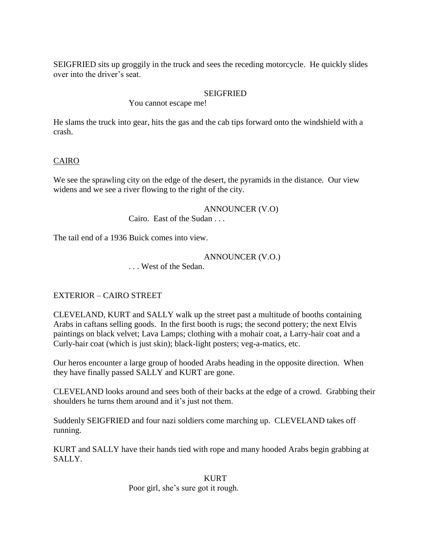SEIGFRIED sits up groggily in the truck and sees the receding motorcycle. He quickly slides over into the driver"s seat.

### **SEIGFRIED**

You cannot escape me!

He slams the truck into gear, hits the gas and the cab tips forward onto the windshield with a crash.

### CAIRO

We see the sprawling city on the edge of the desert, the pyramids in the distance. Our view widens and we see a river flowing to the right of the city.

> ANNOUNCER (V.O) Cairo. East of the Sudan . . .

The tail end of a 1936 Buick comes into view.

### ANNOUNCER (V.O.)

. . . West of the Sedan.

### EXTERIOR – CAIRO STREET

CLEVELAND, KURT and SALLY walk up the street past a multitude of booths containing Arabs in caftans selling goods. In the first booth is rugs; the second pottery; the next Elvis paintings on black velvet; Lava Lamps; clothing with a mohair coat, a Larry-hair coat and a Curly-hair coat (which is just skin); black-light posters; veg-a-matics, etc.

Our heros encounter a large group of hooded Arabs heading in the opposite direction. When they have finally passed SALLY and KURT are gone.

CLEVELAND looks around and sees both of their backs at the edge of a crowd. Grabbing their shoulders he turns them around and it's just not them.

Suddenly SEIGFRIED and four nazi soldiers come marching up. CLEVELAND takes off running.

KURT and SALLY have their hands tied with rope and many hooded Arabs begin grabbing at SALLY.

#### KURT

Poor girl, she"s sure got it rough.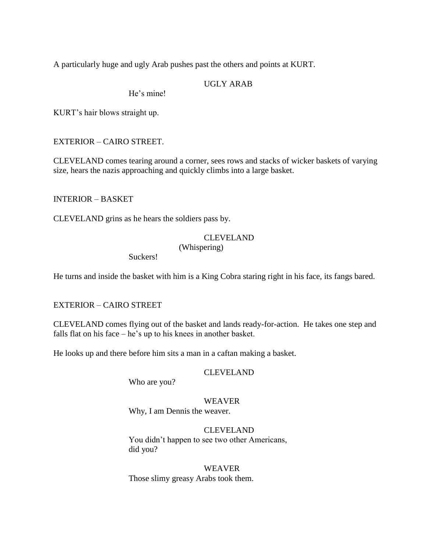A particularly huge and ugly Arab pushes past the others and points at KURT.

# UGLY ARAB

He's mine!

KURT"s hair blows straight up.

### EXTERIOR – CAIRO STREET.

CLEVELAND comes tearing around a corner, sees rows and stacks of wicker baskets of varying size, hears the nazis approaching and quickly climbs into a large basket.

INTERIOR – BASKET

CLEVELAND grins as he hears the soldiers pass by.

### CLEVELAND (Whispering)

Suckers!

He turns and inside the basket with him is a King Cobra staring right in his face, its fangs bared.

### EXTERIOR – CAIRO STREET

CLEVELAND comes flying out of the basket and lands ready-for-action. He takes one step and falls flat on his face  $-$  he's up to his knees in another basket.

He looks up and there before him sits a man in a caftan making a basket.

#### CLEVELAND

Who are you?

WEAVER Why, I am Dennis the weaver.

# CLEVELAND You didn"t happen to see two other Americans, did you?

WEAVER Those slimy greasy Arabs took them.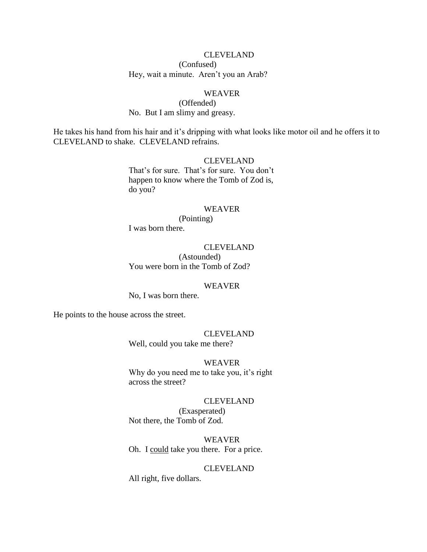### CLEVELAND

(Confused) Hey, wait a minute. Aren't you an Arab?

### WEAVER

(Offended) No. But I am slimy and greasy.

He takes his hand from his hair and it's dripping with what looks like motor oil and he offers it to CLEVELAND to shake. CLEVELAND refrains.

### CLEVELAND

That's for sure. That's for sure. You don't happen to know where the Tomb of Zod is, do you?

### WEAVER

(Pointing) I was born there.

#### CLEVELAND

(Astounded) You were born in the Tomb of Zod?

#### WEAVER

No, I was born there.

He points to the house across the street.

# CLEVELAND

Well, could you take me there?

#### WEAVER

Why do you need me to take you, it's right across the street?

#### CLEVELAND

(Exasperated) Not there, the Tomb of Zod.

WEAVER Oh. I could take you there. For a price.

#### CLEVELAND

All right, five dollars.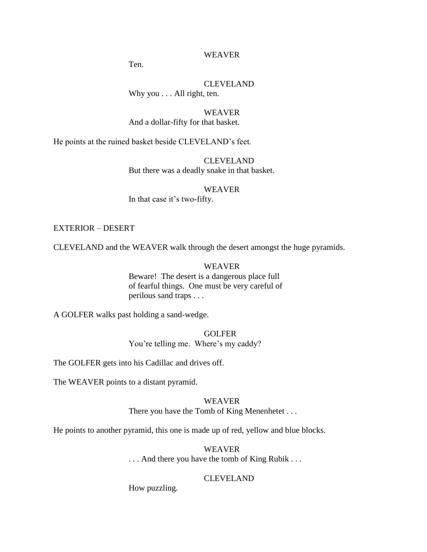### WEAVER

Ten.

### CLEVELAND Why you . . . All right, ten.

WEAVER And a dollar-fifty for that basket.

He points at the ruined basket beside CLEVELAND"s feet.

CLEVELAND But there was a deadly snake in that basket.

WEAVER

In that case it's two-fifty.

#### EXTERIOR – DESERT

CLEVELAND and the WEAVER walk through the desert amongst the huge pyramids.

#### WEAVER

Beware! The desert is a dangerous place full of fearful things. One must be very careful of perilous sand traps . . .

A GOLFER walks past holding a sand-wedge.

**GOLFER** You're telling me. Where's my caddy?

The GOLFER gets into his Cadillac and drives off.

The WEAVER points to a distant pyramid.

#### WEAVER

There you have the Tomb of King Menenhetet . . .

He points to another pyramid, this one is made up of red, yellow and blue blocks.

#### WEAVER

. . . And there you have the tomb of King Rubik . . .

#### CLEVELAND

How puzzling.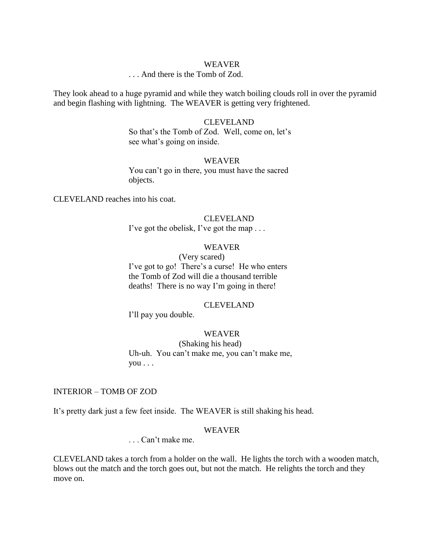#### WEAVER

### . . . And there is the Tomb of Zod.

They look ahead to a huge pyramid and while they watch boiling clouds roll in over the pyramid and begin flashing with lightning. The WEAVER is getting very frightened.

#### CLEVELAND

So that's the Tomb of Zod. Well, come on, let's see what's going on inside.

#### WEAVER

You can't go in there, you must have the sacred objects.

CLEVELAND reaches into his coat.

#### CLEVELAND

I've got the obelisk, I've got the map . . .

#### WEAVER

(Very scared) I've got to go! There's a curse! He who enters the Tomb of Zod will die a thousand terrible deaths! There is no way I'm going in there!

#### CLEVELAND

I'll pay you double.

#### WEAVER

(Shaking his head)

Uh-uh. You can"t make me, you can"t make me, you . . .

### INTERIOR – TOMB OF ZOD

It's pretty dark just a few feet inside. The WEAVER is still shaking his head.

#### WEAVER

. . . Can"t make me.

CLEVELAND takes a torch from a holder on the wall. He lights the torch with a wooden match, blows out the match and the torch goes out, but not the match. He relights the torch and they move on.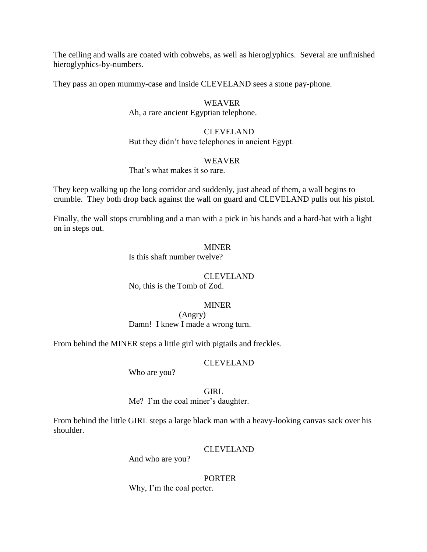The ceiling and walls are coated with cobwebs, as well as hieroglyphics. Several are unfinished hieroglyphics-by-numbers.

They pass an open mummy-case and inside CLEVELAND sees a stone pay-phone.

### WEAVER

#### Ah, a rare ancient Egyptian telephone.

### CLEVELAND

But they didn"t have telephones in ancient Egypt.

#### WEAVER

# That's what makes it so rare.

They keep walking up the long corridor and suddenly, just ahead of them, a wall begins to crumble. They both drop back against the wall on guard and CLEVELAND pulls out his pistol.

Finally, the wall stops crumbling and a man with a pick in his hands and a hard-hat with a light on in steps out.

### **MINER**

Is this shaft number twelve?

### CLEVELAND

No, this is the Tomb of Zod.

### MINER

(Angry) Damn! I knew I made a wrong turn.

From behind the MINER steps a little girl with pigtails and freckles.

### CLEVELAND

Who are you?

#### GIRL

Me? I'm the coal miner's daughter.

From behind the little GIRL steps a large black man with a heavy-looking canvas sack over his shoulder.

#### CLEVELAND

And who are you?

#### PORTER

Why, I'm the coal porter.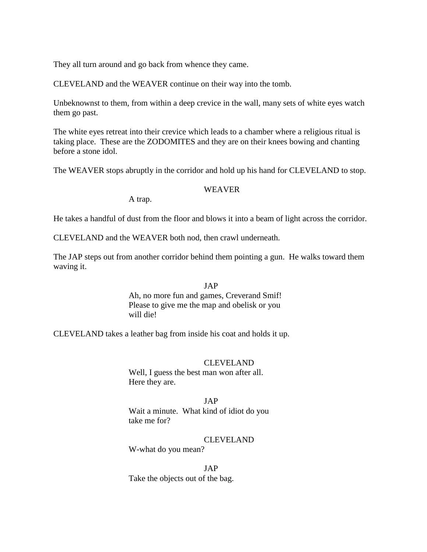They all turn around and go back from whence they came.

CLEVELAND and the WEAVER continue on their way into the tomb.

Unbeknownst to them, from within a deep crevice in the wall, many sets of white eyes watch them go past.

The white eyes retreat into their crevice which leads to a chamber where a religious ritual is taking place. These are the ZODOMITES and they are on their knees bowing and chanting before a stone idol.

The WEAVER stops abruptly in the corridor and hold up his hand for CLEVELAND to stop.

#### WEAVER

A trap.

He takes a handful of dust from the floor and blows it into a beam of light across the corridor.

CLEVELAND and the WEAVER both nod, then crawl underneath.

The JAP steps out from another corridor behind them pointing a gun. He walks toward them waving it.

# JAP Ah, no more fun and games, Creverand Smif! Please to give me the map and obelisk or you will die!

CLEVELAND takes a leather bag from inside his coat and holds it up.

#### CLEVELAND

Well, I guess the best man won after all. Here they are.

JAP Wait a minute. What kind of idiot do you take me for?

CLEVELAND

W-what do you mean?

JAP Take the objects out of the bag.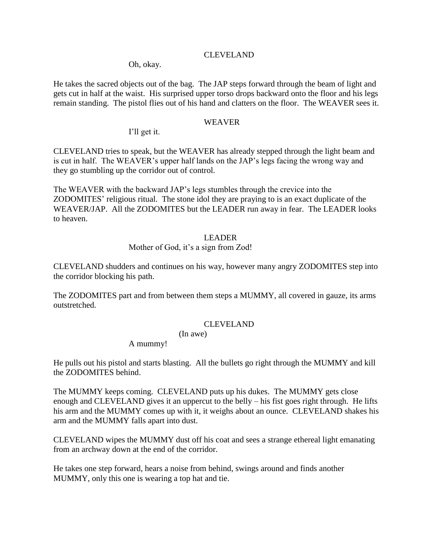### CLEVELAND

Oh, okay.

He takes the sacred objects out of the bag. The JAP steps forward through the beam of light and gets cut in half at the waist. His surprised upper torso drops backward onto the floor and his legs remain standing. The pistol flies out of his hand and clatters on the floor. The WEAVER sees it.

#### WEAVER

I"ll get it.

CLEVELAND tries to speak, but the WEAVER has already stepped through the light beam and is cut in half. The WEAVER's upper half lands on the JAP's legs facing the wrong way and they go stumbling up the corridor out of control.

The WEAVER with the backward JAP"s legs stumbles through the crevice into the ZODOMITES" religious ritual. The stone idol they are praying to is an exact duplicate of the WEAVER/JAP. All the ZODOMITES but the LEADER run away in fear. The LEADER looks to heaven.

#### LEADER

Mother of God, it's a sign from Zod!

CLEVELAND shudders and continues on his way, however many angry ZODOMITES step into the corridor blocking his path.

The ZODOMITES part and from between them steps a MUMMY, all covered in gauze, its arms outstretched.

### CLEVELAND

(In awe)

A mummy!

He pulls out his pistol and starts blasting. All the bullets go right through the MUMMY and kill the ZODOMITES behind.

The MUMMY keeps coming. CLEVELAND puts up his dukes. The MUMMY gets close enough and CLEVELAND gives it an uppercut to the belly – his fist goes right through. He lifts his arm and the MUMMY comes up with it, it weighs about an ounce. CLEVELAND shakes his arm and the MUMMY falls apart into dust.

CLEVELAND wipes the MUMMY dust off his coat and sees a strange ethereal light emanating from an archway down at the end of the corridor.

He takes one step forward, hears a noise from behind, swings around and finds another MUMMY, only this one is wearing a top hat and tie.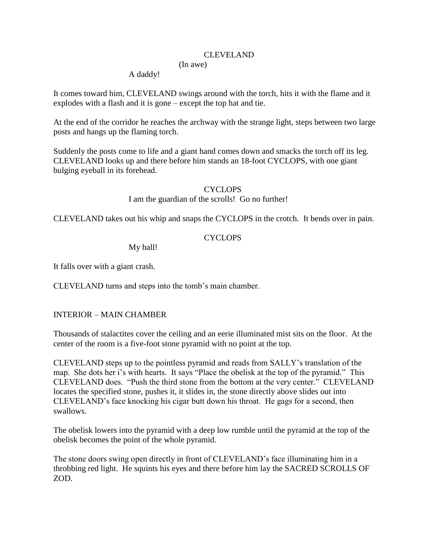### CLEVELAND

# (In awe)

A daddy!

It comes toward him, CLEVELAND swings around with the torch, hits it with the flame and it explodes with a flash and it is gone – except the top hat and tie.

At the end of the corridor he reaches the archway with the strange light, steps between two large posts and hangs up the flaming torch.

Suddenly the posts come to life and a giant hand comes down and smacks the torch off its leg. CLEVELAND looks up and there before him stands an 18-foot CYCLOPS, with one giant bulging eyeball in its forehead.

# CYCLOPS

I am the guardian of the scrolls! Go no further!

CLEVELAND takes out his whip and snaps the CYCLOPS in the crotch. It bends over in pain.

# CYCLOPS

My ball!

It falls over with a giant crash.

CLEVELAND turns and steps into the tomb"s main chamber.

# INTERIOR – MAIN CHAMBER

Thousands of stalactites cover the ceiling and an eerie illuminated mist sits on the floor. At the center of the room is a five-foot stone pyramid with no point at the top.

CLEVELAND steps up to the pointless pyramid and reads from SALLY"s translation of the map. She dots her i's with hearts. It says "Place the obelisk at the top of the pyramid." This CLEVELAND does. "Push the third stone from the bottom at the very center." CLEVELAND locates the specified stone, pushes it, it slides in, the stone directly above slides out into CLEVELAND"s face knocking his cigar butt down his throat. He gags for a second, then swallows.

The obelisk lowers into the pyramid with a deep low rumble until the pyramid at the top of the obelisk becomes the point of the whole pyramid.

The stone doors swing open directly in front of CLEVELAND's face illuminating him in a throbbing red light. He squints his eyes and there before him lay the SACRED SCROLLS OF ZOD.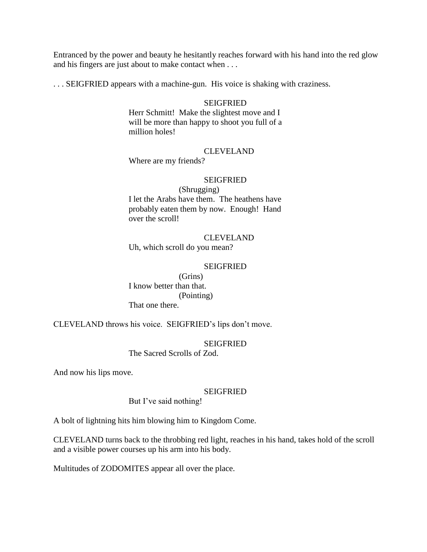Entranced by the power and beauty he hesitantly reaches forward with his hand into the red glow and his fingers are just about to make contact when . . .

. . . SEIGFRIED appears with a machine-gun. His voice is shaking with craziness.

#### SEIGFRIED

Herr Schmitt! Make the slightest move and I will be more than happy to shoot you full of a million holes!

### CLEVELAND

Where are my friends?

### SEIGFRIED

(Shrugging) I let the Arabs have them. The heathens have probably eaten them by now. Enough! Hand over the scroll!

### CLEVELAND

Uh, which scroll do you mean?

### **SEIGFRIED**

(Grins) I know better than that. (Pointing) That one there.

CLEVELAND throws his voice. SEIGFRIED"s lips don"t move.

#### SEIGFRIED

The Sacred Scrolls of Zod.

And now his lips move.

#### SEIGFRIED

But I've said nothing!

A bolt of lightning hits him blowing him to Kingdom Come.

CLEVELAND turns back to the throbbing red light, reaches in his hand, takes hold of the scroll and a visible power courses up his arm into his body.

Multitudes of ZODOMITES appear all over the place.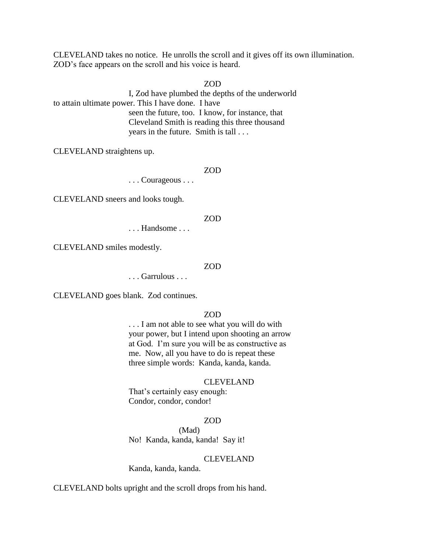CLEVELAND takes no notice. He unrolls the scroll and it gives off its own illumination. ZOD"s face appears on the scroll and his voice is heard.

ZOD

I, Zod have plumbed the depths of the underworld to attain ultimate power. This I have done. I have seen the future, too. I know, for instance, that Cleveland Smith is reading this three thousand years in the future. Smith is tall . . .

CLEVELAND straightens up.

ZOD

. . . Courageous . . .

CLEVELAND sneers and looks tough.

#### ZOD

. . . Handsome . . .

CLEVELAND smiles modestly.

#### ZOD

. . . Garrulous . . .

CLEVELAND goes blank. Zod continues.

### ZOD

. . . I am not able to see what you will do with your power, but I intend upon shooting an arrow at God. I"m sure you will be as constructive as me. Now, all you have to do is repeat these three simple words: Kanda, kanda, kanda.

#### CLEVELAND

That's certainly easy enough: Condor, condor, condor!

#### ZOD

(Mad) No! Kanda, kanda, kanda! Say it!

#### CLEVELAND

Kanda, kanda, kanda.

CLEVELAND bolts upright and the scroll drops from his hand.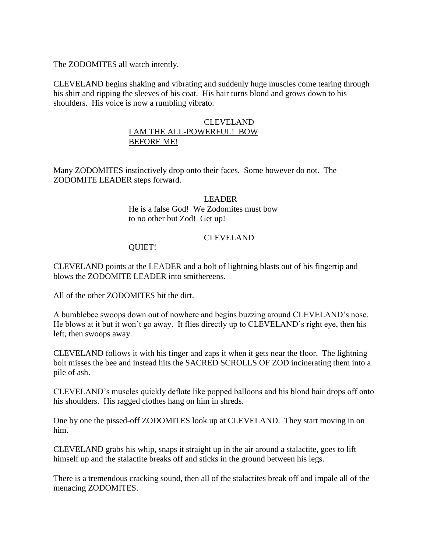The ZODOMITES all watch intently.

CLEVELAND begins shaking and vibrating and suddenly huge muscles come tearing through his shirt and ripping the sleeves of his coat. His hair turns blond and grows down to his shoulders. His voice is now a rumbling vibrato.

## CLEVELAND I AM THE ALL-POWERFUL! BOW BEFORE ME!

Many ZODOMITES instinctively drop onto their faces. Some however do not. The ZODOMITE LEADER steps forward.

### LEADER

He is a false God! We Zodomites must bow to no other but Zod! Get up!

# CLEVELAND

# QUIET!

CLEVELAND points at the LEADER and a bolt of lightning blasts out of his fingertip and blows the ZODOMITE LEADER into smithereens.

All of the other ZODOMITES hit the dirt.

A bumblebee swoops down out of nowhere and begins buzzing around CLEVELAND"s nose. He blows at it but it won't go away. It flies directly up to CLEVELAND's right eye, then his left, then swoops away.

CLEVELAND follows it with his finger and zaps it when it gets near the floor. The lightning bolt misses the bee and instead hits the SACRED SCROLLS OF ZOD incinerating them into a pile of ash.

CLEVELAND"s muscles quickly deflate like popped balloons and his blond hair drops off onto his shoulders. His ragged clothes hang on him in shreds.

One by one the pissed-off ZODOMITES look up at CLEVELAND. They start moving in on him.

CLEVELAND grabs his whip, snaps it straight up in the air around a stalactite, goes to lift himself up and the stalactite breaks off and sticks in the ground between his legs.

There is a tremendous cracking sound, then all of the stalactites break off and impale all of the menacing ZODOMITES.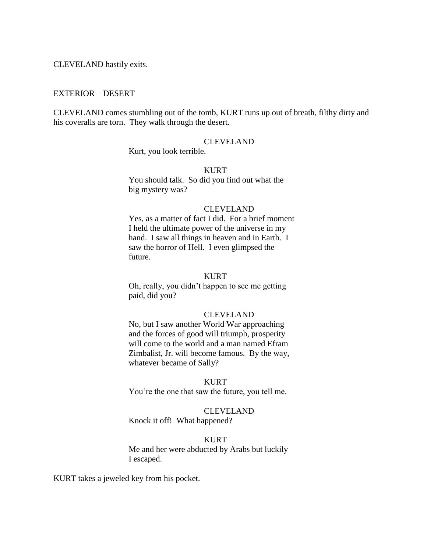CLEVELAND hastily exits.

### EXTERIOR – DESERT

CLEVELAND comes stumbling out of the tomb, KURT runs up out of breath, filthy dirty and his coveralls are torn. They walk through the desert.

#### CLEVELAND

Kurt, you look terrible.

#### KURT

You should talk. So did you find out what the big mystery was?

### CLEVELAND

Yes, as a matter of fact I did. For a brief moment I held the ultimate power of the universe in my hand. I saw all things in heaven and in Earth. I saw the horror of Hell. I even glimpsed the future.

#### KURT

Oh, really, you didn"t happen to see me getting paid, did you?

#### CLEVELAND

No, but I saw another World War approaching and the forces of good will triumph, prosperity will come to the world and a man named Efram Zimbalist, Jr. will become famous. By the way, whatever became of Sally?

### KURT

You"re the one that saw the future, you tell me.

#### CLEVELAND

Knock it off! What happened?

#### KURT

Me and her were abducted by Arabs but luckily I escaped.

KURT takes a jeweled key from his pocket.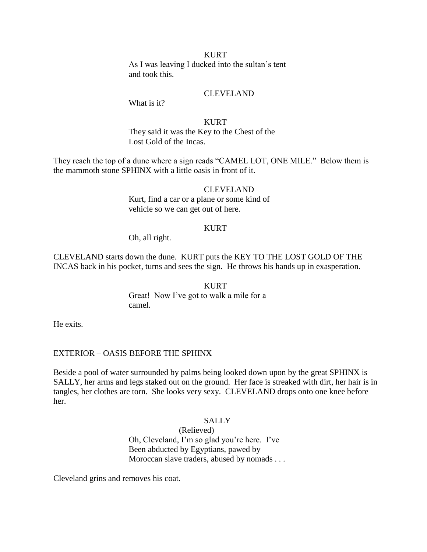#### KURT

As I was leaving I ducked into the sultan"s tent and took this.

### CLEVELAND

What is it?

### KURT

They said it was the Key to the Chest of the Lost Gold of the Incas.

They reach the top of a dune where a sign reads "CAMEL LOT, ONE MILE." Below them is the mammoth stone SPHINX with a little oasis in front of it.

### CLEVELAND

Kurt, find a car or a plane or some kind of vehicle so we can get out of here.

#### KURT

Oh, all right.

CLEVELAND starts down the dune. KURT puts the KEY TO THE LOST GOLD OF THE INCAS back in his pocket, turns and sees the sign. He throws his hands up in exasperation.

> KURT Great! Now I've got to walk a mile for a camel.

He exits.

### EXTERIOR – OASIS BEFORE THE SPHINX

Beside a pool of water surrounded by palms being looked down upon by the great SPHINX is SALLY, her arms and legs staked out on the ground. Her face is streaked with dirt, her hair is in tangles, her clothes are torn. She looks very sexy. CLEVELAND drops onto one knee before her.

#### SALLY

(Relieved) Oh, Cleveland, I"m so glad you"re here. I"ve Been abducted by Egyptians, pawed by Moroccan slave traders, abused by nomads . . .

Cleveland grins and removes his coat.